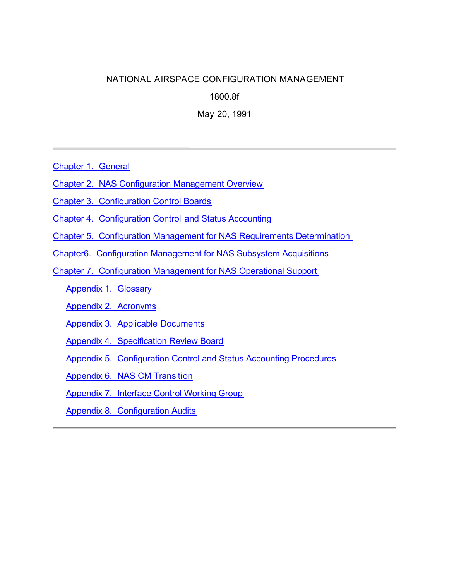# **NATIONAL AIRSPACE CONFIGURATION MANAGEMENT**

**1800.8f**

**May 20, 1991**

Chapter 1. General

Chapter 2. NAS Configuration Management Overview

Chapter 3. Configuration Control Boards

Chapter 4. Configuration Control and Status Accounting

Chapter 5. Configuration Management for NAS Requirements Determination

Chapter6. Configuration Management for NAS Subsystem Acquisitions

Chapter 7. Configuration Management for NAS Operational Support

Appendix 1. Glossary

Appendix 2. Acronyms

Appendix 3. Applicable Documents

Appendix 4. Specification Review Board

Appendix 5. Configuration Control and Status Accounting Procedures

Appendix 6. NAS CM Transition

Appendix 7. Interface Control Working Group

Appendix 8. Configuration Audits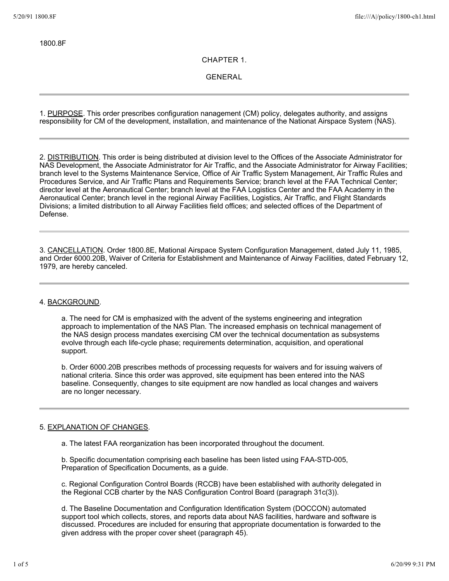1800.8F

**CHAPTER 1.**

**GENERAL**

1. PURPOSE. This order prescribes configuration nanagement (CM) policy, delegates authority, and assigns responsibility for CM of the development, installation, and maintenance of the Nationat Airspace System (NAS).

2. **DISTRIBUTION**. This order is being distributed at division level to the Offices of the Associate Administrator for NAS Development, the Associate Administrator for Air Traffic, and the Associate Administrator for Airway Facilities; branch level to the Systems Maintenance Service, Office of Air Traffic System Management, Air Traffic Rules and Procedures Service, and Air Traffic Plans and Requirements Service; branch level at the FAA Technical Center; director level at the Aeronautical Center; branch level at the FAA Logistics Center and the FAA Academy in the Aeronautical Center; branch level in the regional Airway Facilities, Logistics, Air Traffic, and Flight Standards Divisions; a limited distribution to all Airway Facilities field offices; and selected offices of the Department of Defense.

3. CANCELLATION. Order 1800.8E, Mational Airspace System Configuration Management, dated July 11, 1985, and Order 6000.20B, Waiver of Criteria for Establishment and Maintenance of Airway Facilities, dated February 12, 1979, are hereby canceled.

#### 4. BACKGROUND.

a. The need for CM is emphasized with the advent of the systems engineering and integration approach to implementation of the NAS Plan. The increased emphasis on technical management of the NAS design process mandates exercising CM over the technical documentation as subsystems evolve through each life-cycle phase; requirements determination, acquisition, and operational support.

b. Order 6000.20B prescribes methods of processing requests for waivers and for issuing waivers of national criteria. Since this order was approved, site equipment has been entered into the NAS baseline. Consequently, changes to site equipment are now handled as local changes and waivers are no longer necessary.

## 5. EXPLANATION OF CHANGES.

a. The latest FAA reorganization has been incorporated throughout the document.

b. Specific documentation comprising each baseline has been listed using FAA-STD-005, Preparation of Specification Documents, as a guide.

c. Regional Configuration Control Boards (RCCB) have been established with authority delegated in the Regional CCB charter by the NAS Configuration Control Board (paragraph 31c(3)).

d. The Baseline Documentation and Configuration Identification System (DOCCON) automated support tool which collects, stores, and reports data about NAS facilities, hardware and software is discussed. Procedures are included for ensuring that appropriate documentation is forwarded to the given address with the proper cover sheet (paragraph 45).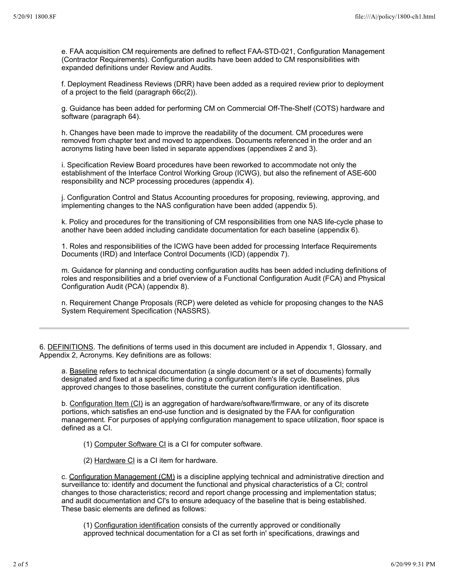e. FAA acquisition CM requirements are defined to reflect FAA-STD-021, Configuration Management (Contractor Requirements). Configuration audits have been added to CM responsibilities with expanded definitions under Review and Audits.

f. Deployment Readiness Reviews (DRR) have been added as a required review prior to deployment of a project to the field (paragraph 66c(2)).

g. Guidance has been added for performing CM on Commercial Off-The-Shelf (COTS) hardware and software (paragraph 64).

h. Changes have been made to improve the readability of the document. CM procedures were removed from chapter text and moved to appendixes. Documents referenced in the order and an acronyms listing have been listed in separate appendixes (appendixes 2 and 3).

i. Specification Review Board procedures have been reworked to accommodate not only the establishment of the Interface Control Working Group (ICWG), but also the refinement of ASE-600 responsibility and NCP processing procedures (appendix 4).

j. Configuration Control and Status Accounting procedures for proposing, reviewing, approving, and implementing changes to the NAS configuration have been added (appendix 5).

k. Policy and procedures for the transitioning of CM responsibilities from one NAS life-cycle phase to another have been added including candidate documentation for each baseline (appendix 6).

1. Roles and responsibilities of the ICWG have been added for processing Interface Requirements Documents (IRD) and Interface Control Documents (ICD) (appendix 7).

m. Guidance for planning and conducting configuration audits has been added including definitions of roles and responsibilities and a brief overview of a Functional Configuration Audit (FCA) and Physical Configuration Audit (PCA) (appendix 8).

n. Requirement Change Proposals (RCP) were deleted as vehicle for proposing changes to the NAS System Requirement Specification (NASSRS).

6. DEFINITIONS. The definitions of terms used in this document are included in Appendix 1, Glossary, and Appendix 2, Acronyms. Key definitions are as follows:

a. Baseline refers to technical documentation (a single document or a set of documents) formally designated and fixed at a specific time during a configuration item's life cycle. Baselines, plus approved changes to those baselines, constitute the current configuration identification.

b. Configuration Item (CI) is an aggregation of hardware/software/firmware, or any of its discrete portions, which satisfies an end-use function and is designated by the FAA for configuration management. For purposes of applying configuration management to space utilization, floor space is defined as a CI.

- (1) Computer Software CI is a CI for computer software.
- (2) Hardware CI is a CI item for hardware.

c. Configuration Management (CM) is a discipline applying technical and administrative direction and surveillance to: identify and document the functional and physical characteristics of a CI; control changes to those characteristics; record and report change processing and implementation status; and audit documentation and CI's to ensure adequacy of the baseline that is being established. These basic elements are defined as follows:

(1) Configuration identification consists of the currently approved or conditionally approved technical documentation for a CI as set forth in' specifications, drawings and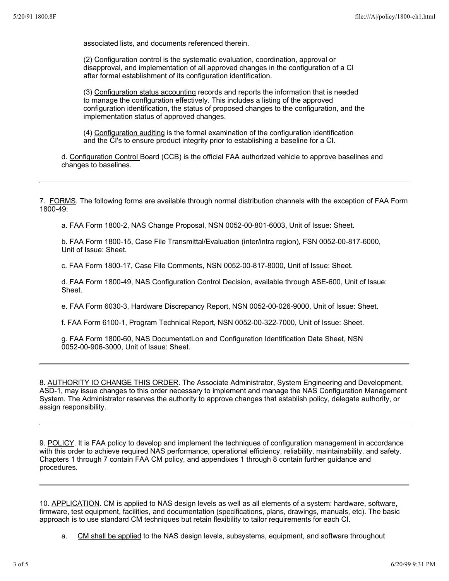associated lists, and documents referenced therein.

(2) Configuration control is the systematic evaluation, coordination, approval or disapproval, and implementation of all approved changes in the configuration of a CI after formal establishment of its configuration identification.

(3) Configuration status accounting records and reports the information that is needed to manage the conflguration effectively. This includes a listing of the approved configuration identification, the status of proposed changes to the configuration, and the implementation status of approved changes.

(4) Configuration auditing is the formal examination of the configuration identification and the CI's to ensure product integrity prior to establishing a baseline for a CI.

d. Configuration Control Board (CCB) is the official FAA authorlzed vehicle to approve baselines and changes to baselines.

7. FORMS. The following forms are available through normal distribution channels with the exception of FAA Form 1800-49:

a. FAA Form 1800-2, NAS Change Proposal, NSN 0052-00-801-6003, Unit of Issue: Sheet.

b. FAA Form 1800-15, Case File Transmittal/Evaluation (inter/intra region), FSN 0052-00-817-6000, Unit of Issue: Sheet.

c. FAA Form 1800-17, Case File Comments, NSN 0052-00-817-8000, Unit of Issue: Sheet.

d. FAA Form 1800-49, NAS Configuration Control Decision, available through ASE-600, Unit of Issue: Sheet.

e. FAA Form 6030-3, Hardware Discrepancy Report, NSN 0052-00-026-9000, Unit of Issue: Sheet.

f. FAA Form 6100-1, Program Technical Report, NSN 0052-00-322-7000, Unit of Issue: Sheet.

g. FAA Form 1800-60, NAS DocumentatLon and Configuration Identification Data Sheet, NSN 0052-00-906-3000, Unit of Issue: Sheet.

8. AUTHORITY IO CHANGE THIS ORDER. The Associate Administrator, System Engineering and Development, ASD-1, may issue changes to this order necessary to implement and manage the NAS Configuration Management System. The Administrator reserves the authority to approve changes that establish policy, delegate authority, or assign responsibility.

9. POLICY. It is FAA policy to develop and implement the techniques of configuration management in accordance with this order to achieve required NAS performance, operational efficiency, reliability, maintainability, and safety. Chapters 1 through 7 contain FAA CM policy, and appendixes 1 through 8 contain further guidance and procedures.

10. APPLICATION. CM is applied to NAS design levels as well as all elements of a system: hardware, software, firmware, test equipment, facilities, and documentation (specifications, plans, drawings, manuals, etc). The basic approach is to use standard CM techniques but retain flexibility to tailor requirements for each CI.

a. CM shall be applied to the NAS design levels, subsystems, equipment, and software throughout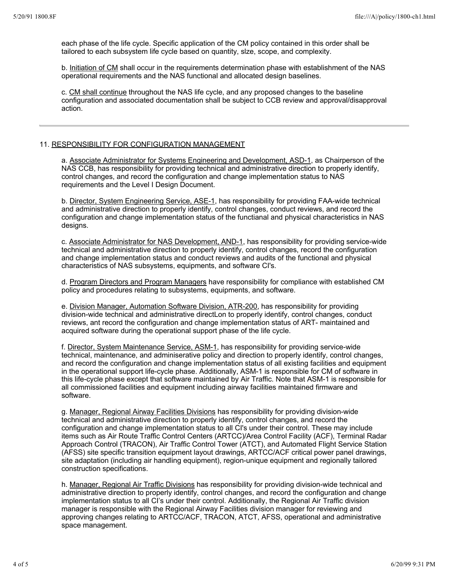each phase of the life cycle. Specific application of the CM policy contained in this order shall be tailored to each subsystem life cycle based on quantity, slze, scope, and complexity.

b. Initiation of CM shall occur in the requirements determination phase with establishment of the NAS operational requirements and the NAS functional and allocated design baselines.

c. CM shall continue throughout the NAS life cycle, and any proposed changes to the baseline configuration and associated documentation shall be subject to CCB review and approval/disapproval action.

#### 11. RESPONSIBILITY FOR CONFIGURATION MANAGEMENT

a. Associate Administrator for Systems Engineering and Development, ASD-1, as Chairperson of the NAS CCB, has responsibility for providing technical and administrative direction to properly identify, control changes, and record the configuration and change implementation status to NAS requirements and the Level I Design Document.

b. Director, System Engineering Service, ASE-1, has responsibility for providing FAA-wide technical and administrative direction to properly identify, control changes, conduct reviews, and record the configuration and change implementation status of the functianal and physical characteristics in NAS designs.

c. Associate Administrator for NAS Development, AND-1, has responsibility for providing service-wide technical and administrative direction to properly identify, control changes, record the configuration and change implementation status and conduct reviews and audits of the functional and physical characteristics of NAS subsystems, equipments, and software CI's.

d. Program Directors and Program Managers have responsibility for compliance with established CM policy and procedures relating to subsystems, equipments, and software.

e. Division Manager, Automation Software Division, ATR-200, has responsibility for providing division-wide technical and administrative directLon to properly identify, control changes, conduct reviews, ant record the configuration and change implementation status of ART- maintained and acquired software during the operational support phase of the life cycle.

f. Director, System Maintenance Service, ASM-1, has responsibility for providing service-wide technical, maintenance, and adminiserative policy and direction to properly identify, control changes, and record the configuration and change implementation status of all existing facilities and equipment in the operational support life-cycle phase. Additionally, ASM-1 is responsible for CM of software in this life-cycle phase except that software maintained by Air Traffic. Note that ASM-1 is responsible for all commissioned facilities and equipment including airway facilities maintained firmware and software.

g. Manager, Regional Airway Facilities Divisions has responsibility for providing division-wide technical and administrative direction to properly identify, control changes, and record the configuration and change implementation status to all CI's under their control. These may include items such as Air Route Traffic Control Centers (ARTCC)/Area Control Facility (ACF), Terminal Radar Approach Control (TRACON), Air Traffic Control Tower (ATCT), and Automated Flight Service Station (AFSS) site specific transition equipment layout drawings, ARTCC/ACF critical power panel drawings, site adaptation (including air handling equipment), region-unique equipment and regionally tailored construction specifications.

h. Manager, Regional Air Traffic Divisions has responsibility for providing division-wide technical and administrative direction to properly identify, control changes, and record the configuration and change implementation status to all CI's under their control. Additionally, the Regional Air Traffic division manager is responsible with the Regional Airway Facilities division manager for reviewing and approving changes relating to ARTCC/ACF, TRACON, ATCT, AFSS, operational and administrative space management.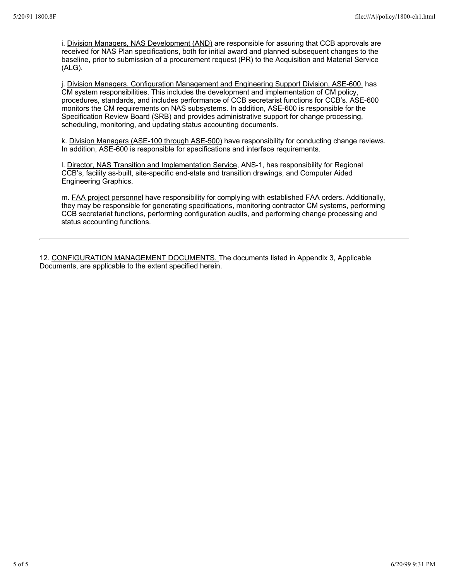i. Division Managers, NAS Development (AND) are responsible for assuring that CCB approvals are received for NAS Plan specifications, both for initial award and planned subsequent changes to the baseline, prior to submission of a procurement request (PR) to the Acquisition and Material Service (ALG).

j. Division Managers, Configuration Management and Engineering Support Division, ASE-600, has CM system responsibilities. This includes the development and implementation of CM policy, procedures, standards, and includes performance of CCB secretarist functions for CCB's. ASE-600 monitors the CM requirements on NAS subsystems. In addition, ASE-600 is responsible for the Specification Review Board (SRB) and provides administrative support for change processing, scheduling, monitoring, and updating status accounting documents.

k. Division Managers (ASE-100 through ASE-500) have responsibility for conducting change reviews. In addition, ASE-600 is responsible for specifications and interface requirements.

l. Director, NAS Transition and Implementation Service, ANS-1, has responsibility for Regional CCB's, facility as-built, site-specific end-state and transition drawings, and Computer Aided Engineering Graphics.

m. FAA project personnel have responsibility for complying with established FAA orders. Additionally, they may be responsible for generating specifications, monitoring contractor CM systems, performing CCB secretariat functions, performing configuration audits, and performing change processing and status accounting functions.

12. CONFIGURATION MANAGEMENT DOCUMENTS. The documents listed in Appendix 3, Applicable Documents, are applicable to the extent specified herein.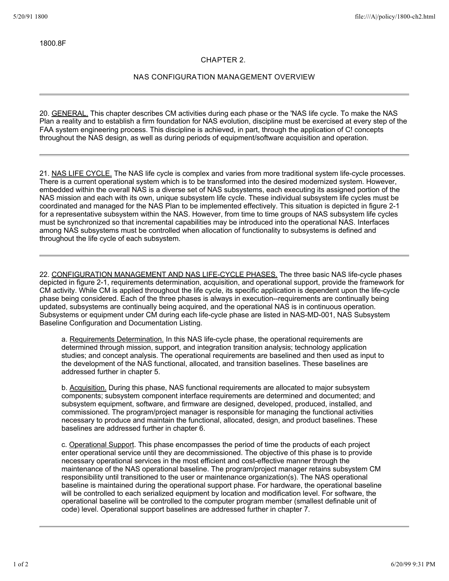1800.8F

## **CHAPTER 2.**

# **NAS CONFIGURATION MANAGEMENT OVERVIEW**

20. GENERAL. This chapter describes CM activities during each phase or the 'NAS life cycle. To make the NAS Plan a reality and to establish a firm foundation for NAS evolution, discipline must be exercised at every step of the FAA system engineering process. This discipline is achieved, in part, through the application of C! concepts throughout the NAS design, as well as during periods of equipment/software acquisition and operation.

21. NAS LIFE CYCLE. The NAS life cycle is complex and varies from more traditional system life-cycle processes. There is a current operational system which is to be transformed into the desired modernized system. However, embedded within the overall NAS is a diverse set of NAS subsystems, each executing its assigned portion of the NAS mission and each with its own, unique subsystem life cycle. These individual subsystem life cycles must be coordinated and managed for the NAS Plan to be implemented effectively. This situation is depicted in figure 2-1 for a representative subsystem within the NAS. However, from time to time groups of NAS subsystem life cycles must be synchronized so that incremental capabilities may be introduced into the operational NAS. Interfaces among NAS subsystems must be controlled when allocation of functionality to subsystems is defined and throughout the life cycle of each subsystem.

22. CONFIGURATION MANAGEMENT AND NAS LIFE-CYCLE PHASES. The three basic NAS life-cycle phases depicted in figure 2-1, requirements determination, acquisition, and operational support, provide the framework for CM activity. While CM is applied throughout the life cycle, its specific application is dependent upon the life-cycle phase being considered. Each of the three phases is always in execution--requirements are continually being updated, subsystems are continually being acquired, and the operational NAS is in continuous operation. Subsystems or equipment under CM during each life-cycle phase are listed in NAS-MD-001, NAS Subsystem Baseline Configuration and Documentation Listing.

a. Requirements Determination. In this NAS life-cycle phase, the operational requirements are determined through mission, support, and integration transition analysis; technology application studies; and concept analysis. The operational requirements are baselined and then used as input to the development of the NAS functional, allocated, and transition baselines. These baselines are addressed further in chapter 5.

b. Acquisition. During this phase, NAS functional requirements are allocated to major subsystem components; subsystem component interface requirements are determined and documented; and subsystem equipment, software, and firmware are designed, developed, produced, installed, and commissioned. The program/project manager is responsible for managing the functional activities necessary to produce and maintain the functional, allocated, design, and product baselines. These baselines are addressed further in chapter 6.

c. Operational Support. This phase encompasses the period of time the products of each project enter operational service until they are decommissioned. The objective of this phase is to provide necessary operational services in the most efficient and cost-effective manner through the maintenance of the NAS operational baseline. The program/project manager retains subsystem CM responsibility until transitioned to the user or maintenance organization(s). The NAS operational baseline is maintained during the operational support phase. For hardware, the operational baseline will be controlled to each serialized equipment by location and modification level. For software, the operational baseline will be controlled to the computer program member (smallest definable unit of code) level. Operational support baselines are addressed further in chapter 7.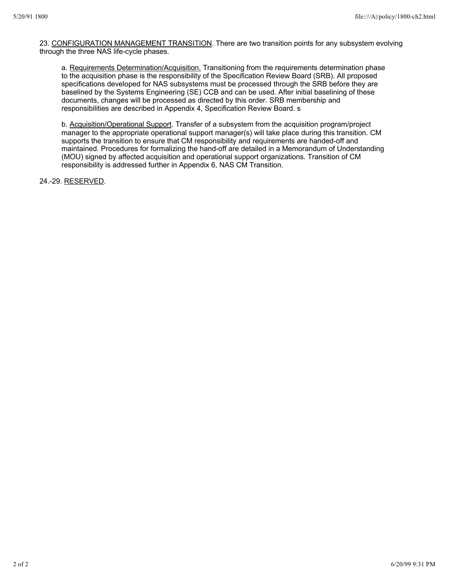23. CONFIGURATION MANAGEMENT TRANSITION. There are two transition points for any subsystem evolving through the three NAS life-cycle phases.

a. Requirements Determination/Acquisition. Transitioning from the requirements determination phase to the acquisition phase is the responsibility of the Specification Review Board (SRB). All proposed specifications developed for NAS subsystems must be processed through the SRB before they are baselined by the Systems Engineering (SE) CCB and can be used. After initial baselining of these documents, changes will be processed as directed by this order. SRB membership and responsibilities are described in Appendix 4, Specification Review Board. s

b. Acquisition/Operational Support. Transfer of a subsystem from the acquisition program/project manager to the appropriate operational support manager(s) will take place during this transition. CM supports the transition to ensure that CM responsibility and requirements are handed-off and maintained. Procedures for formalizing the hand-off are detailed in a Memorandum of Understanding (MOU) signed by affected acquisition and operational support organizations. Transition of CM responsibility is addressed further in Appendix 6, NAS CM Transition.

24.-29. RESERVED.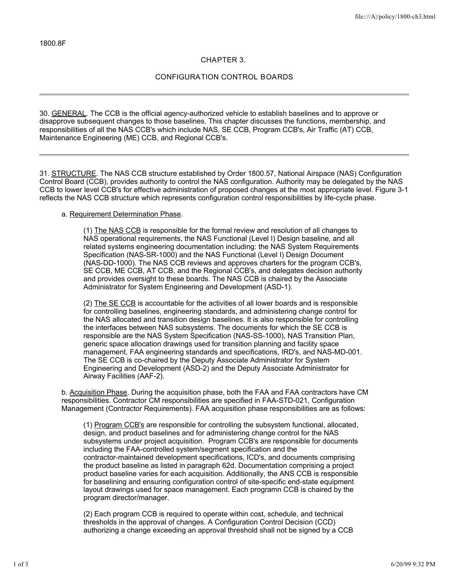# **CHAPTER 3.**

## **CONFIGURATION CONTROL BOARDS**

30. GENERAL. The CCB is the official agency-authorized vehicle to establish baselines and to approve or disapprove subsequent changes to those baselines. This chapter discusses the functions, membership, and responsibilities of all the NAS CCB's which include NAS, SE CCB, Program CCB's, Air Traffic (AT) CCB, Maintenance Engineering (ME) CCB, and Regional CCB's.

31. STRUCTURE. The NAS CCB structure established by Order 1800.57, National Airspace (NAS) Configuration Control Board (CCB), provides authority to control the NAS configuration. Authority may be delegated by the NAS CCB to lower level CCB's for effective administration of proposed changes at the most appropriate level. Figure 3-1 reflects the NAS CCB structure which represents configuration control responsibilities by life-cycle phase.

#### a. Requirement Determination Phase.

(1) The NAS CCB is responsible for the formal review and resolution of all changes to NAS operational requirements, the NAS Functional (Level I) Design baseline, and all related systems engineering documentation including: the NAS System Requirements Specification (NAS-SR-1000) and the NAS Functional (Level I) Design Document (NAS-DD-1000). The NAS CCB reviews and approves charters for the program CCB's, SE CCB, ME CCB, AT CCB, and the Regional CCB's, and delegates decision authority and provides oversight to these boards. The NAS CCB is chaired by the Associate Administrator for System Engineering and Development (ASD-1).

(2) The SE CCB is accountable for the activities of all lower boards and is responsible for controlling baselines, engineering standards, and administering change control for the NAS allocated and transition design baselines. It is also responsible for controlling the interfaces between NAS subsystems. The documents for which the SE CCB is responsible are the NAS System Specification (NAS-SS-1000), NAS Transition Plan, generic space allocation drawings used for transition planning and facility space management, FAA engineering standards and specifications, IRD's, and NAS-MD-001. The SE CCB is co-chaired by the Deputy Associate Administrator for System Engineering and Development (ASD-2) and the Deputy Associate Administrator for Airway Facilities (AAF-2).

b. Acquisition Phase. During the acquisition phase, both the FAA and FAA contractors have CM responsibilities. Contractor CM responsibilities are specified in FAA-STD-021, Configuration Management (Contractor Requirements). FAA acquisition phase responsibilities are as follows:

(1) Program CCB's are responsible for controlling the subsystem functional, allocated, design, and product baselines and for administering change control for the NAS subsystems under project acquisition. Program CCB's are responsible for documents including the FAA-controlled system/segment specification and the contractor-maintained development specifications, ICD's, and documents comprising the product baseline as listed in paragraph 62d. Documentation comprising a project product baseline varies for each acquisition. Additionally, the ANS CCB is responsible for baselining and ensuring configuration control of site-specific end-state equipment layout drawings used for space management. Each programn CCB is chaired by the program director/manager.

(2) Each program CCB is required to operate within cost, schedule, and technical thresholds in the approval of changes. A Configuration Control Decision (CCD) authorizing a change exceeding an approval threshold shall not be signed by a CCB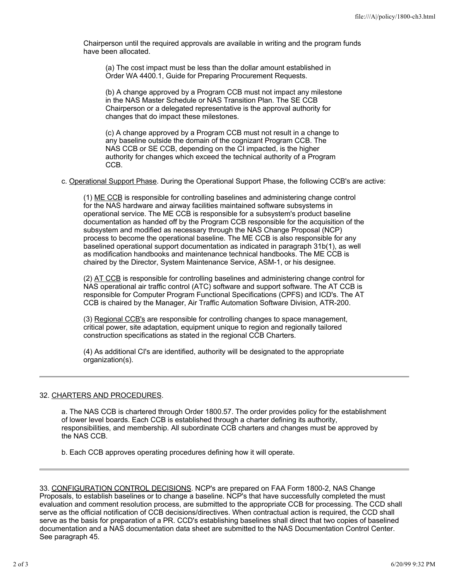Chairperson until the required approvals are available in writing and the program funds have been allocated.

(a) The cost impact must be less than the dollar amount established in Order WA 4400.1, Guide for Preparing Procurement Requests.

(b) A change approved by a Program CCB must not impact any milestone in the NAS Master Schedule or NAS Transition Plan. The SE CCB Chairperson or a delegated representative is the approval authority for changes that do impact these milestones.

(c) A change approved by a Program CCB must not result in a change to any baseline outside the domain of the cognizant Program CCB. The NAS CCB or SE CCB, depending on the CI impacted, is the higher authority for changes which exceed the technical authority of a Program CCB.

c. Operational Support Phase. During the Operational Support Phase, the following CCB's are active:

(1) ME CCB is responsible for controlling baselines and administering change control for the NAS hardware and airway facilities maintained software subsystems in operational service. The ME CCB is responsible for a subsystem's product baseline documentation as handed off by the Program CCB responsible for the acquisition of the subsystem and modified as necessary through the NAS Change Proposal (NCP) process to become the operational baseline. The ME CCB is also responsible for any baselined operational support documentation as indicated in paragraph 31b(1), as well as modification handbooks and maintenance technical handbooks. The ME CCB is chaired by the Director, System Maintenance Service, ASM-1, or his designee.

(2) AT CCB is responsible for controlling baselines and administering change control for NAS operational air traffic control (ATC) software and support software. The AT CCB is responsible for Computer Program Functional Specifications (CPFS) and ICD's. The AT CCB is chaired by the Manager, Air Traffic Automation Software Division, ATR-200.

(3) Regional CCB's are responsible for controlling changes to space management, critical power, site adaptation, equipment unique to region and regionally tailored construction specifications as stated in the regional CCB Charters.

(4) As additional CI's are identified, authority will be designated to the appropriate organization(s).

# 32. CHARTERS AND PROCEDURES.

a. The NAS CCB is chartered through Order 1800.57. The order provides policy for the establishment of lower level boards. Each CCB is established through a charter defining its authority, responsibilities, and membership. All subordinate CCB charters and changes must be approved by the NAS CCB.

b. Each CCB approves operating procedures defining how it will operate.

<sup>33.</sup> CONFIGURATION CONTROL DECISIONS. NCP's are prepared on FAA Form 1800-2, NAS Change Proposals, to establish baselines or to change a baseline. NCP's that have successfully completed the must evaluation and comment resolution process, are submitted to the appropriate CCB for processing. The CCD shall serve as the official notification of CCB decisions/directives. When contractual action is required, the CCD shall serve as the basis for preparation of a PR. CCD's establishing baselines shall direct that two copies of baselined documentation and a NAS documentation data sheet are submitted to the NAS Documentation Control Center. See paragraph 45.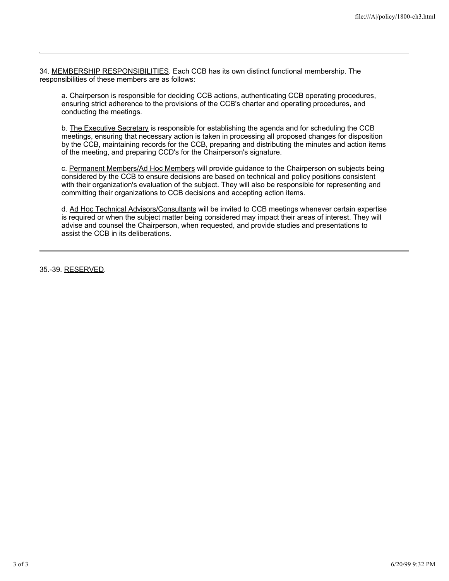34. MEMBERSHIP RESPONSIBILITIES. Each CCB has its own distinct functional membership. The responsibilities of these members are as follows:

a. Chairperson is responsible for deciding CCB actions, authenticating CCB operating procedures, ensuring strict adherence to the provisions of the CCB's charter and operating procedures, and conducting the meetings.

b. The Executive Secretary is responsible for establishing the agenda and for scheduling the CCB meetings, ensuring that necessary action is taken in processing all proposed changes for disposition by the CCB, maintaining records for the CCB, preparing and distributing the minutes and action items of the meeting, and preparing CCD's for the Chairperson's signature.

c. Permanent Members/Ad Hoc Members will provide guidance to the Chairperson on subjects being considered by the CCB to ensure decisions are based on technical and policy positions consistent with their organization's evaluation of the subject. They will also be responsible for representing and committing their organizations to CCB decisions and accepting action items.

d. Ad Hoc Technical Advisors/Consultants will be invited to CCB meetings whenever certain expertise is required or when the subject matter being considered may impact their areas of interest. They will advise and counsel the Chairperson, when requested, and provide studies and presentations to assist the CCB in its deliberations.

35.-39. RESERVED.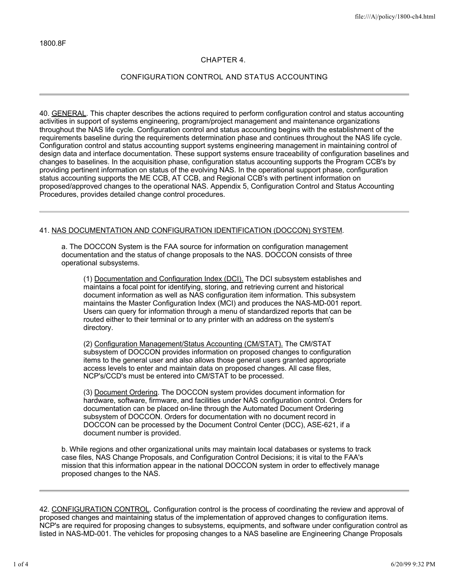# **CHAPTER 4.**

# **CONFIGURATION CONTROL AND STATUS ACCOUNTING**

40. GENERAL. This chapter describes the actions required to perform configuration control and status accounting activities in support of systems engineering, program/project management and maintenance organizations throughout the NAS life cycle. Configuration control and status accounting begins with the establishment of the requirements baseline during the requirements determination phase and continues throughout the NAS life cycle. Configuration control and status accounting support systems engineering management in maintaining control of design data and interface documentation. These support systems ensure traceability of configuration baselines and changes to baselines. In the acquisition phase, configuration status accounting supports the Program CCB's by providing pertinent information on status of the evolving NAS. In the operational support phase, configuration status accounting supports the ME CCB, AT CCB, and Regional CCB's with pertinent information on proposed/approved changes to the operational NAS. Appendix 5, Configuration Control and Status Accounting Procedures, provides detailed change control procedures.

## 41. NAS DOCUMENTATION AND CONFIGURATION IDENTIFICATION (DOCCON) SYSTEM.

a. The DOCCON System is the FAA source for information on configuration management documentation and the status of change proposals to the NAS. DOCCON consists of three operational subsystems.

(1) Documentation and Configuration Index (DCI). The DCI subsystem establishes and maintains a focal point for identifying, storing, and retrieving current and historical document information as well as NAS configuration item information. This subsystem maintains the Master Configuration Index (MCI) and produces the NAS-MD-001 report. Users can query for information through a menu of standardized reports that can be routed either to their terminal or to any printer with an address on the system's directory.

(2) Configuration Management/Status Accounting (CM/STAT). The CM/STAT subsystem of DOCCON provides information on proposed changes to configuration items to the general user and also allows those general users granted appropriate access levels to enter and maintain data on proposed changes. All case files, NCP's/CCD's must be entered into CM/STAT to be processed.

(3) Document Ordering. The DOCCON system provides document information for hardware, software, firmware, and facilities under NAS configuration control. Orders for documentation can be placed on-line through the Automated Document Ordering subsystem of DOCCON. Orders for documentation with no document record in DOCCON can be processed by the Document Control Center (DCC), ASE-621, if a document number is provided.

b. While regions and other organizational units may maintain local databases or systems to track case files, NAS Change Proposals, and Configuration Control Decisions; it is vital to the FAA's mission that this information appear in the national DOCCON system in order to effectively manage proposed changes to the NAS.

42. CONFIGURATION CONTROL. Configuration control is the process of coordinating the review and approval of proposed changes and maintaining status of the implementation of approved changes to configuration items. NCP's are required for proposing changes to subsystems, equipments, and software under configuration control as listed in NAS-MD-001. The vehicles for proposing changes to a NAS baseline are Engineering Change Proposals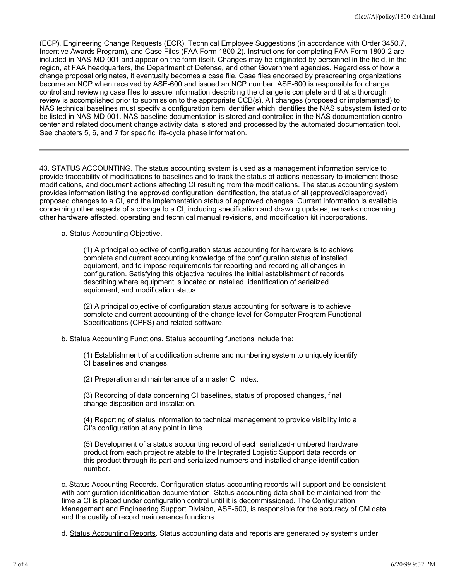(ECP), Engineering Change Requests (ECR), Technical Employee Suggestions (in accordance with Order 3450.7, Incentive Awards Program), and Case Files (FAA Form 1800-2). Instructions for completing FAA Form 1800-2 are included in NAS-MD-001 and appear on the form itself. Changes may be originated by personnel in the field, in the region, at FAA headquarters, the Department of Defense, and other Government agencies. Regardless of how a change proposal originates, it eventually becomes a case file. Case files endorsed by prescreening organizations become an NCP when received by ASE-600 and issued an NCP number. ASE-600 is responsible for change control and reviewing case files to assure information describing the change is complete and that a thorough review is accomplished prior to submission to the appropriate CCB(s). All changes (proposed or implemented) to NAS technical baselines must specify a configuration item identifier which identifies the NAS subsystem listed or to be listed in NAS-MD-001. NAS baseline documentation is stored and controlled in the NAS documentation control center and related document change activity data is stored and processed by the automated documentation tool. See chapters 5, 6, and 7 for specific life-cycle phase information.

43. STATUS ACCOUNTING. The status accounting system is used as a management information service to provide traceability of modifications to baselines and to track the status of actions necessary to implement those modifications, and document actions affecting CI resulting from the modifications. The status accounting system provides information listing the approved configuration identification, the status of all (approved/disapproved) proposed changes to a CI, and the implementation status of approved changes. Current information is available concerning other aspects of a change to a CI, including specification and drawing updates, remarks concerning other hardware affected, operating and technical manual revisions, and modification kit incorporations.

## a. Status Accounting Objective.

(1) A principal objective of configuration status accounting for hardware is to achieve complete and current accounting knowledge of the configuration status of installed equipment, and to impose requirements for reporting and recording all changes in configuration. Satisfying this objective requires the initial establishment of records describing where equipment is located or installed, identification of serialized equipment, and modification status.

(2) A principal objective of configuration status accounting for software is to achieve complete and current accounting of the change level for Computer Program Functional Specifications (CPFS) and related software.

b. Status Accounting Functions. Status accounting functions include the:

(1) Establishment of a codification scheme and numbering system to uniquely identify CI baselines and changes.

(2) Preparation and maintenance of a master CI index.

(3) Recording of data concerning CI baselines, status of proposed changes, final change disposition and installation.

(4) Reporting of status information to technical management to provide visibility into a CI's configuration at any point in time.

(5) Development of a status accounting record of each serialized-numbered hardware product from each project relatable to the Integrated Logistic Support data records on this product through its part and serialized numbers and installed change identification number.

c. Status Accounting Records. Configuration status accounting records will support and be consistent with configuration identification documentation. Status accounting data shall be maintained from the time a CI is placed under configuration control until it is decommissioned. The Configuration Management and Engineering Support Division, ASE-600, is responsible for the accuracy of CM data and the quality of record maintenance functions.

d. Status Accounting Reports. Status accounting data and reports are generated by systems under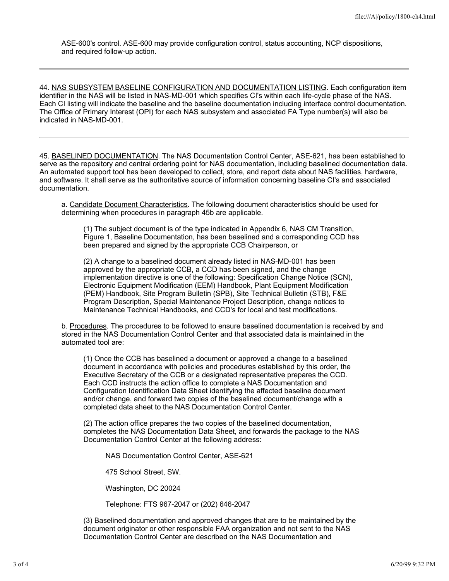ASE-600's control. ASE-600 may provide configuration control, status accounting, NCP dispositions, and required follow-up action.

44. NAS SUBSYSTEM BASELINE CONFIGURATION AND DOCUMENTATION LISTING. Each configuration item identifier in the NAS will be listed in NAS-MD-001 which specifies CI's within each life-cycle phase of the NAS. Each CI listing will indicate the baseline and the baseline documentation including interface control documentation. The Office of Primary Interest (OPI) for each NAS subsystem and associated FA Type number(s) will also be indicated in NAS-MD-001.

45. BASELINED DOCUMENTATION. The NAS Documentation Control Center, ASE-621, has been established to serve as the repository and central ordering point for NAS documentation, including baselined documentation data. An automated support tool has been developed to collect, store, and report data about NAS facilities, hardware, and software. It shall serve as the authoritative source of information concerning baseline CI's and associated documentation.

a. Candidate Document Characteristics. The following document characteristics should be used for determining when procedures in paragraph 45b are applicable.

(1) The subject document is of the type indicated in Appendix 6, NAS CM Transition, Figure 1, Baseline Documentation, has been baselined and a corresponding CCD has been prepared and signed by the appropriate CCB Chairperson, or

(2) A change to a baselined document already listed in NAS-MD-001 has been approved by the appropriate CCB, a CCD has been signed, and the change implementation directive is one of the following: Specification Change Notice (SCN), Electronic Equipment Modification (EEM) Handbook, Plant Equipment Modification (PEM) Handbook, Site Program Bulletin (SPB), Site Technical Bulletin (STB), F&E Program Description, Special Maintenance Project Description, change notices to Maintenance Technical Handbooks, and CCD's for local and test modifications.

b. Procedures. The procedures to be followed to ensure baselined documentation is received by and stored in the NAS Documentation Control Center and that associated data is maintained in the automated tool are:

(1) Once the CCB has baselined a document or approved a change to a baselined document in accordance with policies and procedures established by this order, the Executive Secretary of the CCB or a designated representative prepares the CCD. Each CCD instructs the action office to complete a NAS Documentation and Configuration Identification Data Sheet identifying the affected baseline document and/or change, and forward two copies of the baselined document/change with a completed data sheet to the NAS Documentation Control Center.

(2) The action office prepares the two copies of the baselined documentation, completes the NAS Documentation Data Sheet, and forwards the package to the NAS Documentation Control Center at the following address:

NAS Documentation Control Center, ASE-621

475 School Street, SW.

Washington, DC 20024

Telephone: FTS 967-2047 or (202) 646-2047

(3) Baselined documentation and approved changes that are to be maintained by the document originator or other responsible FAA organization and not sent to the NAS Documentation Control Center are described on the NAS Documentation and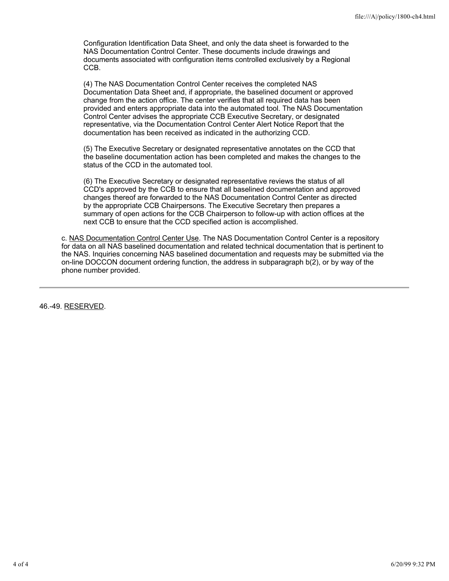Configuration Identification Data Sheet, and only the data sheet is forwarded to the NAS Documentation Control Center. These documents include drawings and documents associated with configuration items controlled exclusively by a Regional CCB.

(4) The NAS Documentation Control Center receives the completed NAS Documentation Data Sheet and, if appropriate, the baselined document or approved change from the action office. The center verifies that all required data has been provided and enters appropriate data into the automated tool. The NAS Documentation Control Center advises the appropriate CCB Executive Secretary, or designated representative, via the Documentation Control Center Alert Notice Report that the documentation has been received as indicated in the authorizing CCD.

(5) The Executive Secretary or designated representative annotates on the CCD that the baseline documentation action has been completed and makes the changes to the status of the CCD in the automated tool.

(6) The Executive Secretary or designated representative reviews the status of all CCD's approved by the CCB to ensure that all baselined documentation and approved changes thereof are forwarded to the NAS Documentation Control Center as directed by the appropriate CCB Chairpersons. The Executive Secretary then prepares a summary of open actions for the CCB Chairperson to follow-up with action offices at the next CCB to ensure that the CCD specified action is accomplished.

c. NAS Documentation Control Center Use. The NAS Documentation Control Center is a repository for data on all NAS baselined documentation and related technical documentation that is pertinent to the NAS. Inquiries concerning NAS baselined documentation and requests may be submitted via the on-line DOCCON document ordering function, the address in subparagraph b(2), or by way of the phone number provided.

46.-49. RESERVED.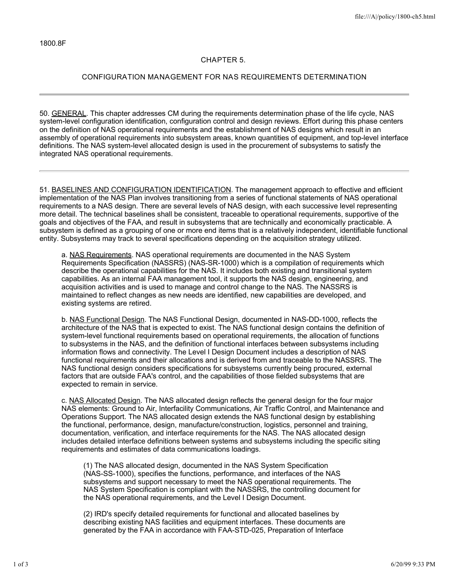## **CHAPTER 5.**

# **CONFIGURATION MANAGEMENT FOR NAS REQUIREMENTS DETERMINATION**

50. GENERAL. This chapter addresses CM during the requirements determination phase of the life cycle, NAS system-level configuration identification, configuration control and design reviews. Effort during this phase centers on the definition of NAS operational requirements and the establishment of NAS designs which result in an assembly of operational requirements into subsystem areas, known quantities of equipment, and top-level interface definitions. The NAS system-level allocated design is used in the procurement of subsystems to satisfy the integrated NAS operational requirements.

51. BASELINES AND CONFIGURATION IDENTIFICATION. The management approach to effective and efficient implementation of the NAS Plan involves transitioning from a series of functional statements of NAS operational requirements to a NAS design. There are several levels of NAS design, with each successive level representing more detail. The technical baselines shall be consistent, traceable to operational requirements, supportive of the goals and objectives of the FAA, and result in subsystems that are technically and economically practicable. A subsystem is defined as a grouping of one or more end items that is a relatively independent, identifiable functional entity. Subsystems may track to several specifications depending on the acquisition strategy utilized.

a. NAS Requirements. NAS operational requirements are documented in the NAS System Requirements Specification (NASSRS) (NAS-SR-1000) which is a compilation of requirements which describe the operational capabilities for the NAS. It includes both existing and transitional system capabilities. As an internal FAA management tool, it supports the NAS design, engineering, and acquisition activities and is used to manage and control change to the NAS. The NASSRS is maintained to reflect changes as new needs are identified, new capabilities are developed, and existing systems are retired.

b. NAS Functional Design. The NAS Functional Design, documented in NAS-DD-1000, reflects the architecture of the NAS that is expected to exist. The NAS functional design contains the definition of system-level functional requirements based on operational requirements, the allocation of functions to subsystems in the NAS, and the definition of functional interfaces between subsystems including information flows and connectivity. The Level I Design Document includes a description of NAS functional requirements and their allocations and is derived from and traceable to the NASSRS. The NAS functional design considers specifications for subsystems currently being procured, external factors that are outside FAA's control, and the capabilities of those fielded subsystems that are expected to remain in service.

c. NAS Allocated Design. The NAS allocated design reflects the general design for the four major NAS elements: Ground to Air, Interfacility Communications, Air Traffic Control, and Maintenance and Operations Support. The NAS allocated design extends the NAS functional design by establishing the functional, performance, design, manufacture/construction, logistics, personnel and training, documentation, verification, and interface requirements for the NAS. The NAS allocated design includes detailed interface definitions between systems and subsystems including the specific siting requirements and estimates of data communications loadings.

(1) The NAS allocated design, documented in the NAS System Specification (NAS-SS-1000), specifies the functions, performance, and interfaces of the NAS subsystems and support necessary to meet the NAS operational requirements. The NAS System Specification is compliant with the NASSRS, the controlling document for the NAS operational requirements, and the Level I Design Document.

(2) IRD's specify detailed requirements for functional and allocated baselines by describing existing NAS facilities and equipment interfaces. These documents are generated by the FAA in accordance with FAA-STD-025, Preparation of Interface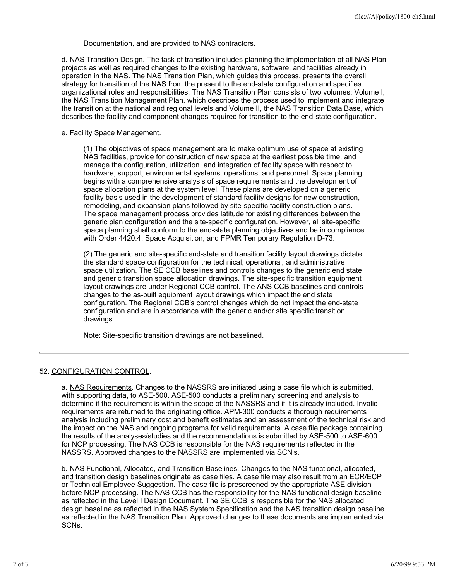Documentation, and are provided to NAS contractors.

d. NAS Transition Design. The task of transition includes planning the implementation of all NAS Plan projects as well as required changes to the existing hardware, software, and facilities already in operation in the NAS. The NAS Transition Plan, which guides this process, presents the overall strategy for transition of the NAS from the present to the end-state configuration and specifies organizational roles and responsibilities. The NAS Transition Plan consists of two volumes: Volume I, the NAS Transition Management Plan, which describes the process used to implement and integrate the transition at the national and regional levels and Volume II, the NAS Transition Data Base, which describes the facility and component changes required for transition to the end-state configuration.

#### e. Facility Space Management.

(1) The objectives of space management are to make optimum use of space at existing NAS facilities, provide for construction of new space at the earliest possible time, and manage the configuration, utilization, and integration of facility space with respect to hardware, support, environmental systems, operations, and personnel. Space planning begins with a comprehensive analysis of space requirements and the development of space allocation plans at the system level. These plans are developed on a generic facility basis used in the development of standard facility designs for new construction, remodeling, and expansion plans followed by site-specific facility construction plans. The space management process provides latitude for existing differences between the generic plan configuration and the site-specific configuration. However, all site-specific space planning shall conform to the end-state planning objectives and be in compliance with Order 4420.4, Space Acquisition, and FPMR Temporary Regulation D-73.

(2) The generic and site-specific end-state and transition facility layout drawings dictate the standard space configuration for the technical, operational, and administrative space utilization. The SE CCB baselines and controls changes to the generic end state and generic transition space allocation drawings. The site-specific transition equipment layout drawings are under Regional CCB control. The ANS CCB baselines and controls changes to the as-built equipment layout drawings which impact the end state configuration. The Regional CCB's control changes which do not impact the end-state configuration and are in accordance with the generic and/or site specific transition drawings.

Note: Site-specific transition drawings are not baselined.

## 52. CONFIGURATION CONTROL.

a. NAS Requirements. Changes to the NASSRS are initiated using a case file which is submitted, with supporting data, to ASE-500. ASE-500 conducts a preliminary screening and analysis to determine if the requirement is within the scope of the NASSRS and if it is already included. Invalid requirements are returned to the originating office. APM-300 conducts a thorough requirements analysis including preliminary cost and benefit estimates and an assessment of the technical risk and the impact on the NAS and ongoing programs for valid requirements. A case file package containing the results of the analyses/studies and the recommendations is submitted by ASE-500 to ASE-600 for NCP processing. The NAS CCB is responsible for the NAS requirements reflected in the NASSRS. Approved changes to the NASSRS are implemented via SCN's.

b. NAS Functional, Allocated, and Transition Baselines. Changes to the NAS functional, allocated, and transition design baselines originate as case files. A case file may also result from an ECR/ECP or Technical Employee Suggestion. The case file is prescreened by the appropriate ASE division before NCP processing. The NAS CCB has the responsibility for the NAS functional design baseline as reflected in the Level I Design Document. The SE CCB is responsible for the NAS allocated design baseline as reflected in the NAS System Specification and the NAS transition design baseline as reflected in the NAS Transition Plan. Approved changes to these documents are implemented via SCNs.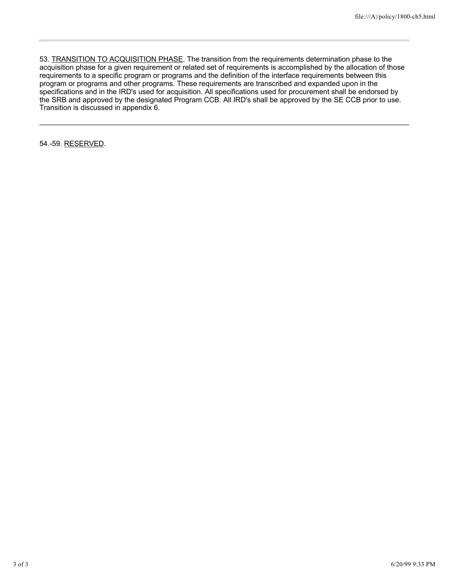53. TRANSITION TO ACQUISITION PHASE. The transition from the requirements determination phase to the acquisition phase for a given requirement or related set of requirements is accomplished by the allocation of those requirements to a specific program or programs and the definition of the interface requirements between this program or programs and other programs. These requirements are transcribed and expanded upon in the specifications and in the IRD's used for acquisition. All specifications used for procurement shall be endorsed by the SRB and approved by the designated Program CCB. All IRD's shall be approved by the SE CCB prior to use. Transition is discussed in appendix 6.

54.-59. RESERVED.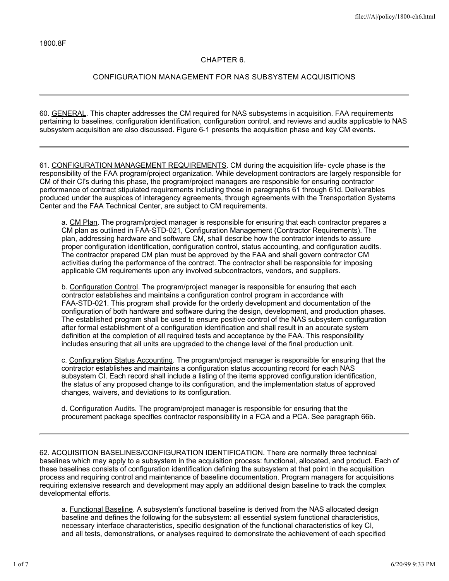## **CHAPTER 6.**

# **CONFIGURATION MANAGEMENT FOR NAS SUBSYSTEM ACQUISITIONS**

60. GENERAL. This chapter addresses the CM required for NAS subsystems in acquisition. FAA requirements pertaining to baselines, configuration identification, configuration control, and reviews and audits applicable to NAS subsystem acquisition are also discussed. Figure 6-1 presents the acquisition phase and key CM events.

61. CONFIGURATION MANAGEMENT REQUIREMENTS. CM during the acquisition life- cycle phase is the responsibility of the FAA program/project organization. While development contractors are largely responsible for CM of their CI's during this phase, the program/project managers are responsible for ensuring contractor performance of contract stipulated requirements including those in paragraphs 61 through 61d. Deliverables produced under the auspices of interagency agreements, through agreements with the Transportation Systems Center and the FAA Technical Center, are subject to CM requirements.

a. CM Plan. The program/project manager is responsible for ensuring that each contractor prepares a CM plan as outlined in FAA-STD-021, Configuration Management (Contractor Requirements). The plan, addressing hardware and software CM, shall describe how the contractor intends to assure proper configuration identification, configuration control, status accounting, and configuration audits. The contractor prepared CM plan must be approved by the FAA and shall govern contractor CM activities during the performance of the contract. The contractor shall be responsible for imposing applicable CM requirements upon any involved subcontractors, vendors, and suppliers.

b. Configuration Control. The program/project manager is responsible for ensuring that each contractor establishes and maintains a configuration control program in accordance with FAA-STD-021. This program shall provide for the orderly development and documentation of the configuration of both hardware and software during the design, development, and production phases. The established program shall be used to ensure positive control of the NAS subsystem configuration after formal establishment of a configuration identification and shall result in an accurate system definition at the completion of all required tests and acceptance by the FAA. This responsibility includes ensuring that all units are upgraded to the change level of the final production unit.

c. Configuration Status Accounting. The program/project manager is responsible for ensuring that the contractor establishes and maintains a configuration status accounting record for each NAS subsystem CI. Each record shall include a listing of the items approved configuration identification, the status of any proposed change to its configuration, and the implementation status of approved changes, waivers, and deviations to its configuration.

d. Configuration Audits. The program/project manager is responsible for ensuring that the procurement package specifies contractor responsibility in a FCA and a PCA. See paragraph 66b.

62. ACQUISITION BASELINES/CONFIGURATION IDENTIFICATION. There are normally three technical baselines which may apply to a subsystem in the acquisition process: functional, allocated, and product. Each of these baselines consists of configuration identification defining the subsystem at that point in the acquisition process and requiring control and maintenance of baseline documentation. Program managers for acquisitions requiring extensive research and development may apply an additional design baseline to track the complex developmental efforts.

a. Functional Baseline. A subsystem's functional baseline is derived from the NAS allocated design baseline and defines the following for the subsystem: all essential system functional characteristics, necessary interface characteristics, specific designation of the functional characteristics of key CI, and all tests, demonstrations, or analyses required to demonstrate the achievement of each specified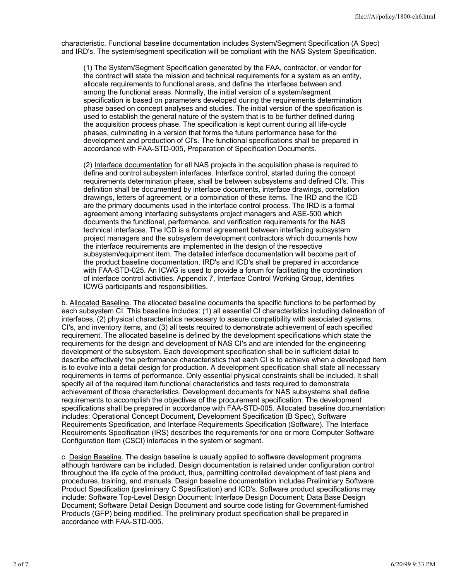characteristic. Functional baseline documentation includes System/Segment Specification (A Spec) and IRD's. The system/segment specification will be compliant with the NAS System Specification.

(1) The System/Segment Specification generated by the FAA, contractor, or vendor for the contract will state the mission and technical requirements for a system as an entity, allocate requirements to functional areas, and define the interfaces between and among the functional areas. Normally, the initial version of a system/segment specification is based on parameters developed during the requirements determination phase based on concept analyses and studies. The initial version of the specification is used to establish the general nature of the system that is to be further defined during the acquisition process phase. The specification is kept current during all life-cycle phases, culminating in a version that forms the future performance base for the development and production of CI's. The functional specifications shall be prepared in accordance with FAA-STD-005, Preparation of Specification Documents.

(2) Interface documentation for all NAS projects in the acquisition phase is required to define and control subsystem interfaces. Interface control, started during the concept requirements determination phase, shall be between subsystems and defined CI's. This definition shall be documented by interface documents, interface drawings, correlation drawings, letters of agreement, or a combination of these items. The IRD and the ICD are the primary documents used in the interface control process. The IRD is a formal agreement among interfacing subsystems project managers and ASE-500 which documents the functional, performance, and verification requirements for the NAS technical interfaces. The ICD is a formal agreement between interfacing subsystem project managers and the subsystem development contractors which documents how the interface requirements are implemented in the design of the respective subsystem/equipment item. The detailed interface documentation will become part of the product baseline documentation. IRD's and ICD's shall be prepared in accordance with FAA-STD-025. An ICWG is used to provide a forum for facilitating the coordination of interface control activities. Appendix 7, Interface Control Working Group, identifies ICWG participants and responsibilities.

b. Allocated Baseline. The allocated baseline documents the specific functions to be performed by each subsystem CI. This baseline includes: (1) all essential CI characteristics including delineation of interfaces, (2) physical characteristics necessary to assure compatibility with associated systems, CI's, and inventory items, and (3) all tests required to demonstrate achievement of each specified requirement. The allocated baseline is defined by the development specifications which state the requirements for the design and development of NAS CI's and are intended for the engineering development of the subsystem. Each development specification shall be in sufficient detail to describe effectively the performance characteristics that each CI is to achieve when a developed item is to evolve into a detail design for production. A development specification shall state all necessary requirements in terms of performance. Only essential physical constraints shall be included. It shall specify all of the required item functional characteristics and tests required to demonstrate achievement of those characteristics. Development documents for NAS subsystems shall define requirements to accomplish the objectives of the procurement specification. The development specifications shall be prepared in accordance with FAA-STD-005. Allocated baseline documentation includes: Operational Concept Document, Development Specification (B Spec), Software Requirements Specification, and Interface Requirements Specification (Software). The Interface Requirements Specification (IRS) describes the requirements for one or more Computer Software Configuration Item (CSCI) interfaces in the system or segment.

c. Design Baseline. The design baseline is usually applied to software development programs although hardware can be included. Design documentation is retained under configuration control throughout the life cycle of the product, thus, permitting controlled development of test plans and procedures, training, and manuals. Design baseline documentation includes Preliminary Software Product Specification (preliminary C Specification) and ICD's. Software product specifications may include: Software Top-Level Design Document; Interface Design Document; Data Base Design Document; Software Detail Design Document and source code listing for Government-furnished Products (GFP) being modified. The preliminary product specification shall be prepared in accordance with FAA-STD-005.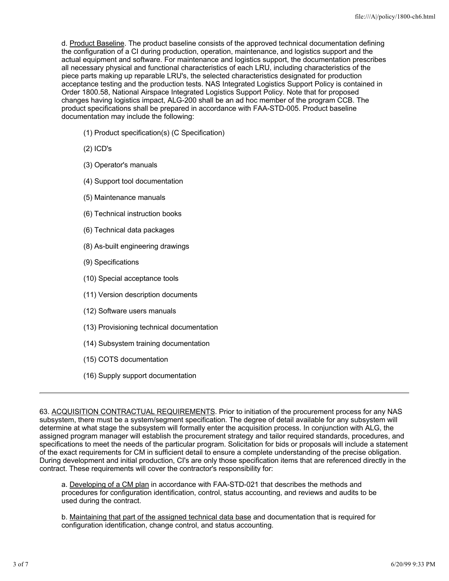d. Product Baseline. The product baseline consists of the approved technical documentation defining the configuration of a CI during production, operation, maintenance, and logistics support and the actual equipment and software. For maintenance and logistics support, the documentation prescribes all necessary physical and functional characteristics of each LRU, including characteristics of the piece parts making up reparable LRU's, the selected characteristics designated for production acceptance testing and the production tests. NAS Integrated Logistics Support Policy is contained in Order 1800.58, National Airspace Integrated Logistics Support Policy. Note that for proposed changes having logistics impact, ALG-200 shall be an ad hoc member of the program CCB. The product specifications shall be prepared in accordance with FAA-STD-005. Product baseline documentation may include the following:

- (1) Product specification(s) (C Specification)
- (2) ICD's
- (3) Operator's manuals
- (4) Support tool documentation
- (5) Maintenance manuals
- (6) Technical instruction books
- (6) Technical data packages
- (8) As-built engineering drawings
- (9) Specifications
- (10) Special acceptance tools
- (11) Version description documents
- (12) Software users manuals
- (13) Provisioning technical documentation
- (14) Subsystem training documentation
- (15) COTS documentation
- (16) Supply support documentation

63. ACQUISITION CONTRACTUAL REQUIREMENTS. Prior to initiation of the procurement process for any NAS subsystem, there must be a system/segment specification. The degree of detail available for any subsystem will determine at what stage the subsystem will formally enter the acquisition process. In conjunction with ALG, the assigned program manager will establish the procurement strategy and tailor required standards, procedures, and specifications to meet the needs of the particular program. Solicitation for bids or proposals will include a statement of the exact requirements for CM in sufficient detail to ensure a complete understanding of the precise obligation. During development and initial production, CI's are only those specification items that are referenced directly in the contract. These requirements will cover the contractor's responsibility for:

a. Developing of a CM plan in accordance with FAA-STD-021 that describes the methods and procedures for configuration identification, control, status accounting, and reviews and audits to be used during the contract.

b. Maintaining that part of the assigned technical data base and documentation that is required for configuration identification, change control, and status accounting.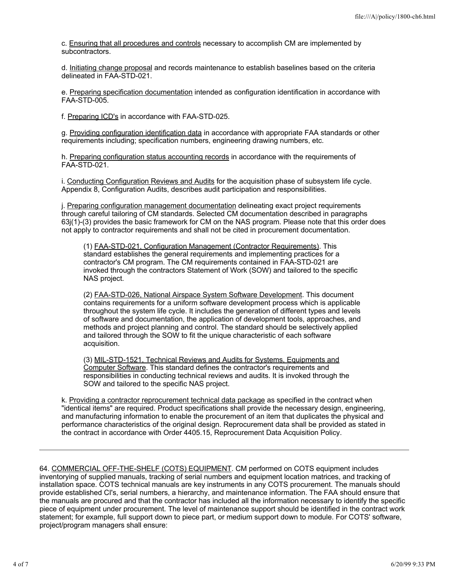c. Ensuring that all procedures and controls necessary to accomplish CM are implemented by subcontractors.

d. Initiating change proposal and records maintenance to establish baselines based on the criteria delineated in FAA-STD-021.

e. Preparing specification documentation intended as configuration identification in accordance with FAA-STD-005.

f. Preparing ICD's in accordance with FAA-STD-025.

g. Providing configuration identification data in accordance with appropriate FAA standards or other requirements including; specification numbers, engineering drawing numbers, etc.

h. Preparing configuration status accounting records in accordance with the requirements of FAA-STD-021.

i. Conducting Configuration Reviews and Audits for the acquisition phase of subsystem life cycle. Appendix 8, Configuration Audits, describes audit participation and responsibilities.

j. Preparing configuration management documentation delineating exact project requirements through careful tailoring of CM standards. Selected CM documentation described in paragraphs 63j(1)-(3) provides the basic framework for CM on the NAS program. Please note that this order does not apply to contractor requirements and shall not be cited in procurement documentation.

(1) FAA-STD-021, Configuration Management (Contractor Requirements). This standard establishes the general requirements and implementing practices for a contractor's CM program. The CM requirements contained in FAA-STD-021 are invoked through the contractors Statement of Work (SOW) and tailored to the specific NAS project.

(2) FAA-STD-026, National Airspace System Software Development. This document contains requirements for a uniform software development process which is applicable throughout the system life cycle. It includes the generation of different types and levels of software and documentation, the application of development tools, approaches, and methods and project planning and control. The standard should be selectively applied and tailored through the SOW to fit the unique characteristic of each software acquisition.

(3) MIL-STD-1521, Technical Reviews and Audits for Systems, Equipments and Computer Software. This standard defines the contractor's requirements and responsibilities in conducting technical reviews and audits. It is invoked through the SOW and tailored to the specific NAS project.

k. Providing a contractor reprocurement technical data package as specified in the contract when "identical items" are required. Product specifications shall provide the necessary design, engineering, and manufacturing information to enable the procurement of an item that duplicates the physical and performance characteristics of the original design. Reprocurement data shall be provided as stated in the contract in accordance with Order 4405.15, Reprocurement Data Acquisition Policy.

64. COMMERCIAL OFF-THE-SHELF (COTS) EQUIPMENT. CM performed on COTS equipment includes inventorying of supplied manuals, tracking of serial numbers and equipment location matrices, and tracking of installation space. COTS technical manuals are key instruments in any COTS procurement. The manuals should provide established CI's, serial numbers, a hierarchy, and maintenance information. The FAA should ensure that the manuals are procured and that the contractor has included all the information necessary to identify the specific piece of equipment under procurement. The level of maintenance support should be identified in the contract work statement; for example, full support down to piece part, or medium support down to module. For COTS' software, project/program managers shall ensure: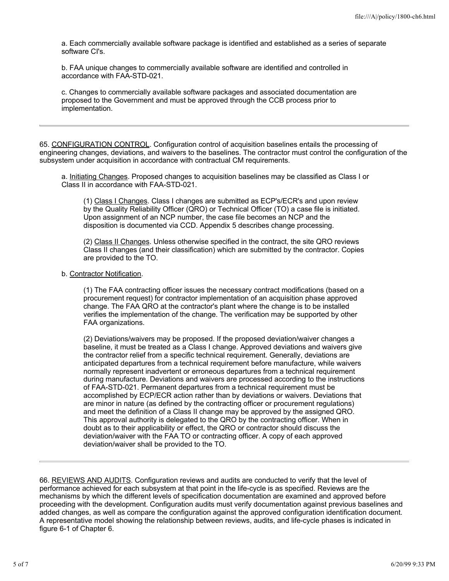a. Each commercially available software package is identified and established as a series of separate software CI's.

b. FAA unique changes to commercially available software are identified and controlled in accordance with FAA-STD-021.

c. Changes to commercially available software packages and associated documentation are proposed to the Government and must be approved through the CCB process prior to implementation.

65. CONFIGURATION CONTROL. Configuration control of acquisition baselines entails the processing of engineering changes, deviations, and waivers to the baselines. The contractor must control the configuration of the subsystem under acquisition in accordance with contractual CM requirements.

a. Initiating Changes. Proposed changes to acquisition baselines may be classified as Class I or Class II in accordance with FAA-STD-021.

(1) Class I Changes. Class I changes are submitted as ECP's/ECR's and upon review by the Quality Reliability Officer (QRO) or Technical Officer (TO) a case file is initiated. Upon assignment of an NCP number, the case file becomes an NCP and the disposition is documented via CCD. Appendix 5 describes change processing.

(2) Class II Changes. Unless otherwise specified in the contract, the site QRO reviews Class II changes (and their classification) which are submitted by the contractor. Copies are provided to the TO.

b. Contractor Notification.

(1) The FAA contracting officer issues the necessary contract modifications (based on a procurement request) for contractor implementation of an acquisition phase approved change. The FAA QRO at the contractor's plant where the change is to be installed verifies the implementation of the change. The verification may be supported by other FAA organizations.

(2) Deviations/waivers may be proposed. If the proposed deviation/waiver changes a baseline, it must be treated as a Class I change. Approved deviations and waivers give the contractor relief from a specific technical requirement. Generally, deviations are anticipated departures from a technical requirement before manufacture, while waivers normally represent inadvertent or erroneous departures from a technical requirement during manufacture. Deviations and waivers are processed according to the instructions of FAA-STD-021. Permanent departures from a technical requirement must be accomplished by ECP/ECR action rather than by deviations or waivers. Deviations that are minor in nature (as defined by the contracting officer or procurement regulations) and meet the definition of a Class II change may be approved by the assigned QRO. This approval authority is delegated to the QRO by the contracting officer. When in doubt as to their applicability or effect, the QRO or contractor should discuss the deviation/waiver with the FAA TO or contracting officer. A copy of each approved deviation/waiver shall be provided to the TO.

66. REVIEWS AND AUDITS. Configuration reviews and audits are conducted to verify that the level of performance achieved for each subsystem at that point in the life-cycle is as specified. Reviews are the mechanisms by which the different levels of specification documentation are examined and approved before proceeding with the development. Configuration audits must verify documentation against previous baselines and added changes, as well as compare the configuration against the approved configuration identification document. A representative model showing the relationship between reviews, audits, and life-cycle phases is indicated in figure 6-1 of Chapter 6.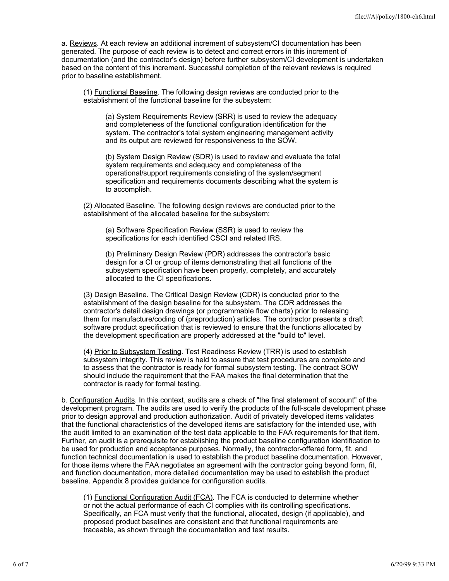a. Reviews. At each review an additional increment of subsystem/CI documentation has been generated. The purpose of each review is to detect and correct errors in this increment of documentation (and the contractor's design) before further subsystem/CI development is undertaken based on the content of this increment. Successful completion of the relevant reviews is required prior to baseline establishment.

(1) Functional Baseline. The following design reviews are conducted prior to the establishment of the functional baseline for the subsystem:

(a) System Requirements Review (SRR) is used to review the adequacy and completeness of the functional configuration identification for the system. The contractor's total system engineering management activity and its output are reviewed for responsiveness to the SOW.

(b) System Design Review (SDR) is used to review and evaluate the total system requirements and adequacy and completeness of the operational/support requirements consisting of the system/segment specification and requirements documents describing what the system is to accomplish.

(2) Allocated Baseline. The following design reviews are conducted prior to the establishment of the allocated baseline for the subsystem:

(a) Software Specification Review (SSR) is used to review the specifications for each identified CSCI and related IRS.

(b) Preliminary Design Review (PDR) addresses the contractor's basic design for a CI or group of items demonstrating that all functions of the subsystem specification have been properly, completely, and accurately allocated to the CI specifications.

(3) Design Baseline. The Critical Design Review (CDR) is conducted prior to the establishment of the design baseline for the subsystem. The CDR addresses the contractor's detail design drawings (or programmable flow charts) prior to releasing them for manufacture/coding of (preproduction) articles. The contractor presents a draft software product specification that is reviewed to ensure that the functions allocated by the development specification are properly addressed at the "build to" level.

(4) Prior to Subsystem Testing. Test Readiness Review (TRR) is used to establish subsystem integrity. This review is held to assure that test procedures are complete and to assess that the contractor is ready for formal subsystem testing. The contract SOW should include the requirement that the FAA makes the final determination that the contractor is ready for formal testing.

b. Configuration Audits. In this context, audits are a check of "the final statement of account" of the development program. The audits are used to verify the products of the full-scale development phase prior to design approval and production authorization. Audit of privately developed items validates that the functional characteristics of the developed items are satisfactory for the intended use, with the audit limited to an examination of the test data applicable to the FAA requirements for that item. Further, an audit is a prerequisite for establishing the product baseline configuration identification to be used for production and acceptance purposes. Normally, the contractor-offered form, fit, and function technical documentation is used to establish the product baseline documentation. However, for those items where the FAA negotiates an agreement with the contractor going beyond form, fit, and function documentation, more detailed documentation may be used to establish the product baseline. Appendix 8 provides guidance for configuration audits.

(1) Functional Configuration Audit (FCA). The FCA is conducted to determine whether or not the actual performance of each CI complies with its controlling specifications. Specifically, an FCA must verify that the functional, allocated, design (if applicable), and proposed product baselines are consistent and that functional requirements are traceable, as shown through the documentation and test results.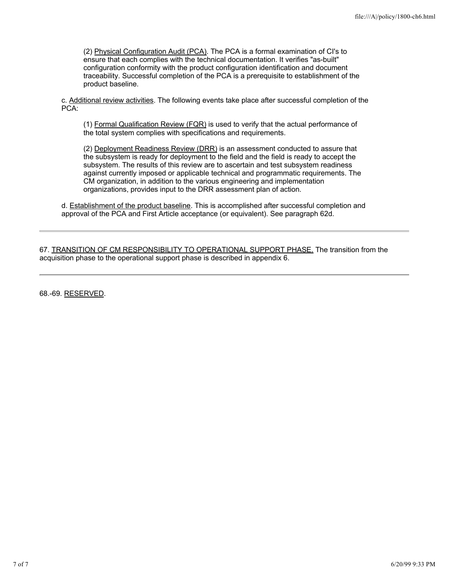(2) Physical Configuration Audit (PCA). The PCA is a formal examination of CI's to ensure that each complies with the technical documentation. It verifies "as-built" configuration conformity with the product configuration identification and document traceability. Successful completion of the PCA is a prerequisite to establishment of the product baseline.

c. Additional review activities. The following events take place after successful completion of the PCA:

(1) Formal Qualification Review (FQR) is used to verify that the actual performance of the total system complies with specifications and requirements.

(2) Deployment Readiness Review (DRR) is an assessment conducted to assure that the subsystem is ready for deployment to the field and the field is ready to accept the subsystem. The results of this review are to ascertain and test subsystem readiness against currently imposed or applicable technical and programmatic requirements. The CM organization, in addition to the various engineering and implementation organizations, provides input to the DRR assessment plan of action.

d. Establishment of the product baseline. This is accomplished after successful completion and approval of the PCA and First Article acceptance (or equivalent). See paragraph 62d.

67. TRANSITION OF CM RESPONSIBILITY TO OPERATIONAL SUPPORT PHASE. The transition from the acquisition phase to the operational support phase is described in appendix 6.

68.-69. RESERVED.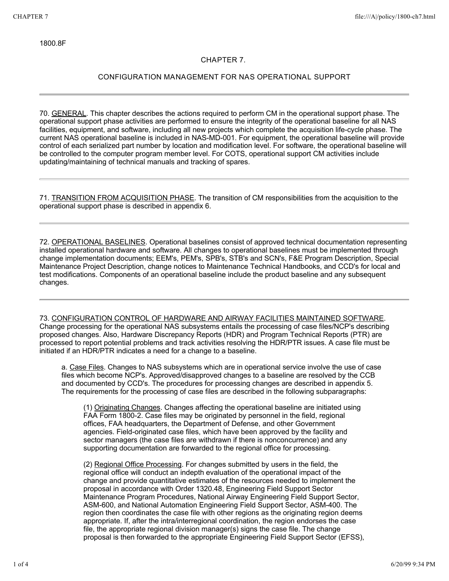1800.8F

# **CHAPTER 7.**

# **CONFIGURATION MANAGEMENT FOR NAS OPERATIONAL SUPPORT**

70. GENERAL. This chapter describes the actions required to perform CM in the operational support phase. The operational support phase activities are performed to ensure the integrity of the operational baseline for all NAS facilities, equipment, and software, including all new projects which complete the acquisition life-cycle phase. The current NAS operational baseline is included in NAS-MD-001. For equipment, the operational baseline will provide control of each serialized part number by location and modification level. For software, the operational baseline will be controlled to the computer program member level. For COTS, operational support CM activities include updating/maintaining of technical manuals and tracking of spares.

71. TRANSITION FROM ACQUISITION PHASE. The transition of CM responsibilities from the acquisition to the operational support phase is described in appendix 6.

72. OPERATIONAL BASELINES. Operational baselines consist of approved technical documentation representing installed operational hardware and software. All changes to operational baselines must be implemented through change implementation documents; EEM's, PEM's, SPB's, STB's and SCN's, F&E Program Description, Special Maintenance Project Description, change notices to Maintenance Technical Handbooks, and CCD's for local and test modifications. Components of an operational baseline include the product baseline and any subsequent changes.

## 73. CONFIGURATION CONTROL OF HARDWARE AND AIRWAY FACILITIES MAINTAINED SOFTWARE.

Change processing for the operational NAS subsystems entails the processing of case files/NCP's describing proposed changes. Also, Hardware Discrepancy Reports (HDR) and Program Technical Reports (PTR) are processed to report potential problems and track activities resolving the HDR/PTR issues. A case file must be initiated if an HDR/PTR indicates a need for a change to a baseline.

a. Case Files. Changes to NAS subsystems which are in operational service involve the use of case files which become NCP's. Approved/disapproved changes to a baseline are resolved by the CCB and documented by CCD's. The procedures for processing changes are described in appendix 5. The requirements for the processing of case files are described in the following subparagraphs:

(1) Originating Changes. Changes affecting the operational baseline are initiated using FAA Form 1800-2. Case files may be originated by personnel in the field, regional offices, FAA headquarters, the Department of Defense, and other Government agencies. Field-originated case files, which have been approved by the facility and sector managers (the case files are withdrawn if there is nonconcurrence) and any supporting documentation are forwarded to the regional office for processing.

(2) Regional Office Processing. For changes submitted by users in the field, the regional office will conduct an indepth evaluation of the operational impact of the change and provide quantitative estimates of the resources needed to implement the proposal in accordance with Order 1320.48, Engineering Field Support Sector Maintenance Program Procedures, National Airway Engineering Field Support Sector, ASM-600, and National Automation Engineering Field Support Sector, ASM-400. The region then coordinates the case file with other regions as the originating region deems appropriate. If, after the intra/interregional coordination, the region endorses the case file, the appropriate regional division manager(s) signs the case file. The change proposal is then forwarded to the appropriate Engineering Field Support Sector (EFSS),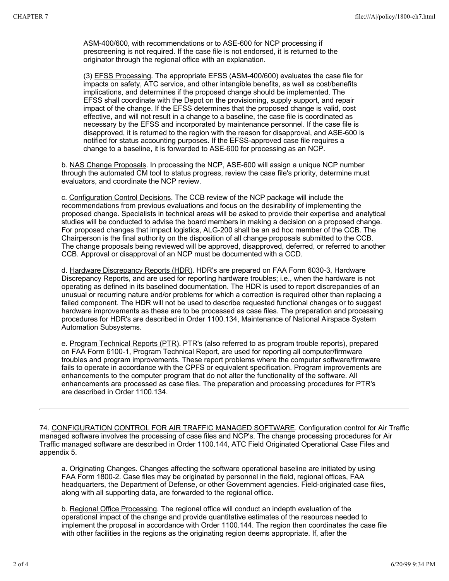ASM-400/600, with recommendations or to ASE-600 for NCP processing if prescreening is not required. If the case file is not endorsed, it is returned to the originator through the regional office with an explanation.

(3) EFSS Processing. The appropriate EFSS (ASM-400/600) evaluates the case file for impacts on safety, ATC service, and other intangible benefits, as well as cost/benefits implications, and determines if the proposed change should be implemented. The EFSS shall coordinate with the Depot on the provisioning, supply support, and repair impact of the change. If the EFSS determines that the proposed change is valid, cost effective, and will not result in a change to a baseline, the case file is coordinated as necessary by the EFSS and incorporated by maintenance personnel. If the case file is disapproved, it is returned to the region with the reason for disapproval, and ASE-600 is notified for status accounting purposes. If the EFSS-approved case file requires a change to a baseline, it is forwarded to ASE-600 for processing as an NCP.

b. NAS Change Proposals. In processing the NCP, ASE-600 will assign a unique NCP number through the automated CM tool to status progress, review the case file's priority, determine must evaluators, and coordinate the NCP review.

c. Configuration Control Decisions. The CCB review of the NCP package will include the recommendations from previous evaluations and focus on the desirability of implementing the proposed change. Specialists in technical areas will be asked to provide their expertise and analytical studies will be conducted to advise the board members in making a decision on a proposed change. For proposed changes that impact logistics, ALG-200 shall be an ad hoc member of the CCB. The Chairperson is the final authority on the disposition of all change proposals submitted to the CCB. The change proposals being reviewed will be approved, disapproved, deferred, or referred to another CCB. Approval or disapproval of an NCP must be documented with a CCD.

d. Hardware Discrepancy Reports (HDR). HDR's are prepared on FAA Form 6030-3, Hardware Discrepancy Reports, and are used for reporting hardware troubles; i.e., when the hardware is not operating as defined in its baselined documentation. The HDR is used to report discrepancies of an unusual or recurring nature and/or problems for which a correction is required other than replacing a failed component. The HDR will not be used to describe requested functional changes or to suggest hardware improvements as these are to be processed as case files. The preparation and processing procedures for HDR's are described in Order 1100.134, Maintenance of National Airspace System Automation Subsystems.

e. Program Technical Reports (PTR). PTR's (also referred to as program trouble reports), prepared on FAA Form 6100-1, Program Technical Report, are used for reporting all computer/firmware troubles and program improvements. These report problems where the computer software/firmware fails to operate in accordance with the CPFS or equivalent specification. Program improvements are enhancements to the computer program that do not alter the functionality of the software. All enhancements are processed as case files. The preparation and processing procedures for PTR's are described in Order 1100.134.

74. CONFIGURATION CONTROL FOR AIR TRAFFIC MANAGED SOFTWARE. Configuration control for Air Traffic managed software involves the processing of case files and NCP's. The change processing procedures for Air Traffic managed software are described in Order 1100.144, ATC Field Originated Operational Case Files and appendix 5.

a. Originating Changes. Changes affecting the software operational baseline are initiated by using FAA Form 1800-2. Case files may be originated by personnel in the field, regional offices, FAA headquarters, the Department of Defense, or other Government agencies. Field-originated case files, along with all supporting data, are forwarded to the regional office.

b. Regional Office Processing. The regional office will conduct an indepth evaluation of the operational impact of the change and provide quantitative estimates of the resources needed to implement the proposal in accordance with Order 1100.144. The region then coordinates the case file with other facilities in the regions as the originating region deems appropriate. If, after the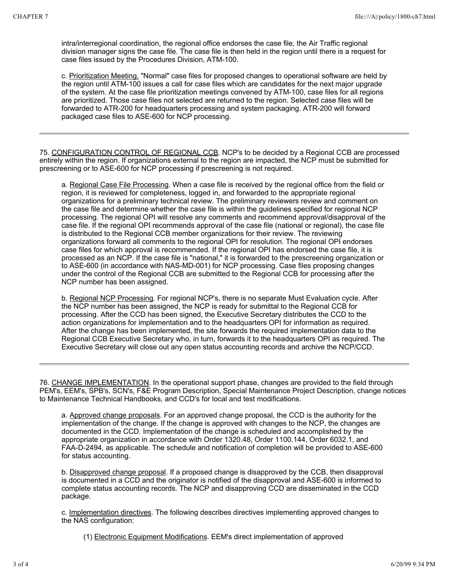intra/interregional coordination, the regional office endorses the case file, the Air Traffic regional division manager signs the case file. The case file is then held in the region until there is a request for case files issued by the Procedures Division, ATM-100.

c. Prioritization Meeting. "Normal" case files for proposed changes to operational software are held by the region until ATM-100 issues a call for case files which are candidates for the next major upgrade of the system. At the case file prioritization meetings convened by ATM-100, case files for all regions are prioritized. Those case files not selected are returned to the region. Selected case files will be forwarded to ATR-200 for headquarters processing and system packaging. ATR-200 will forward packaged case files to ASE-600 for NCP processing.

75. CONFIGURATION CONTROL OF REGIONAL CCB. NCP's to be decided by a Regional CCB are processed entirely within the region. If organizations external to the region are impacted, the NCP must be submitted for prescreening or to ASE-600 for NCP processing if prescreening is not required.

a. Regional Case File Processing. When a case file is received by the regional office from the field or region, it is reviewed for completeness, logged in, and forwarded to the appropriate regional organizations for a preliminary technical review. The preliminary reviewers review and comment on the case file and determine whether the case file is within the guidelines specified for regional NCP processing. The regional OPI will resolve any comments and recommend approval/disapproval of the case file. If the regional OPI recommends approval of the case file (national or regional), the case file is distributed to the Regional CCB member organizations for their review. The reviewing organizations forward all comments to the regional OPI for resolution. The regional OPI endorses case files for which approval is recommended. If the regional OPI has endorsed the case file, it is processed as an NCP. If the case file is "national," it is forwarded to the prescreening organization or to ASE-600 (in accordance with NAS-MD-001) for NCP processing. Case files proposing changes under the control of the Regional CCB are submitted to the Regional CCB for processing after the NCP number has been assigned.

b. Regional NCP Processing. For regional NCP's, there is no separate Must Evaluation cycle. After the NCP number has been assigned, the NCP is ready for submittal to the Regional CCB for processing. After the CCD has been signed, the Executive Secretary distributes the CCD to the action organizations for implementation and to the headquarters OPI for information as required. After the change has been implemented, the site forwards the required implementation data to the Regional CCB Executive Secretary who, in turn, forwards it to the headquarters OPI as required. The Executive Secretary will close out any open status accounting records and archive the NCP/CCD.

76. CHANGE IMPLEMENTATION. In the operational support phase, changes are provided to the field through PEM's, EEM's, SPB's, SCN's, F&E Program Description, Special Maintenance Project Description, change notices to Maintenance Technical Handbooks, and CCD's for local and test modifications.

a. Approved change proposals. For an approved change proposal, the CCD is the authority for the implementation of the change. If the change is approved with changes to the NCP, the changes are documented in the CCD. Implementation of the change is scheduled and accomplished by the appropriate organization in accordance with Order 1320.48, Order 1100.144, Order 6032.1, and FAA-D-2494, as applicable. The schedule and notification of completion will be provided to ASE-600 for status accounting.

b. Disapproved change proposal. If a proposed change is disapproved by the CCB, then disapproval is documented in a CCD and the originator is notified of the disapproval and ASE-600 is informed to complete status accounting records. The NCP and disapproving CCD are disseminated in the CCD package.

c. Implementation directives. The following describes directives implementing approved changes to the NAS configuration:

(1) Electronic Equipment Modifications. EEM's direct implementation of approved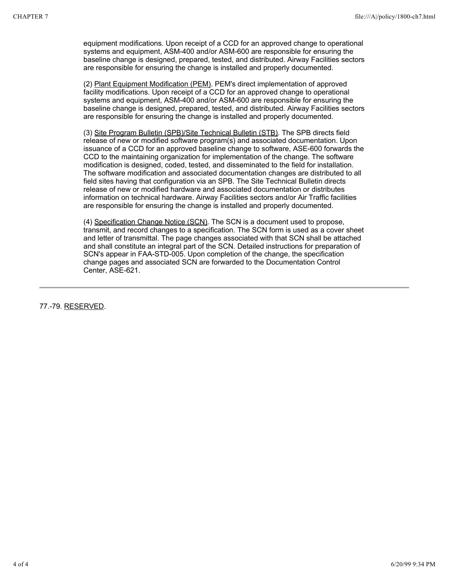equipment modifications. Upon receipt of a CCD for an approved change to operational systems and equipment, ASM-400 and/or ASM-600 are responsible for ensuring the baseline change is designed, prepared, tested, and distributed. Airway Facilities sectors are responsible for ensuring the change is installed and properly documented.

(2) Plant Equipment Modification (PEM). PEM's direct implementation of approved facility modifications. Upon receipt of a CCD for an approved change to operational systems and equipment, ASM-400 and/or ASM-600 are responsible for ensuring the baseline change is designed, prepared, tested, and distributed. Airway Facilities sectors are responsible for ensuring the change is installed and properly documented.

(3) Site Program Bulletin (SPB)/Site Technical Bulletin (STB). The SPB directs field release of new or modified software program(s) and associated documentation. Upon issuance of a CCD for an approved baseline change to software, ASE-600 forwards the CCD to the maintaining organization for implementation of the change. The software modification is designed, coded, tested, and disseminated to the field for installation. The software modification and associated documentation changes are distributed to all field sites having that configuration via an SPB. The Site Technical Bulletin directs release of new or modified hardware and associated documentation or distributes information on technical hardware. Airway Facilities sectors and/or Air Traffic facilities are responsible for ensuring the change is installed and properly documented.

(4) Specification Change Notice (SCN). The SCN is a document used to propose, transmit, and record changes to a specification. The SCN form is used as a cover sheet and letter of transmittal. The page changes associated with that SCN shall be attached and shall constitute an integral part of the SCN. Detailed instructions for preparation of SCN's appear in FAA-STD-005. Upon completion of the change, the specification change pages and associated SCN are forwarded to the Documentation Control Center, ASE-621.

77.-79. RESERVED.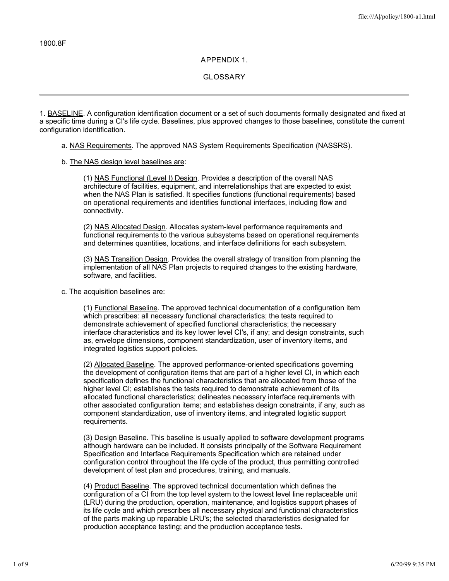## **APPENDIX 1.**

**GLOSSARY**

1. BASELINE. A configuration identification document or a set of such documents formally designated and fixed at a specific time during a CI's life cycle. Baselines, plus approved changes to those baselines, constitute the current configuration identification.

#### a. NAS Requirements. The approved NAS System Requirements Specification (NASSRS).

b. The NAS design level baselines are:

(1) NAS Functional (Level I) Design. Provides a description of the overall NAS architecture of facilities, equipment, and interrelationships that are expected to exist when the NAS Plan is satisfied. It specifies functions (functional requirements) based on operational requirements and identifies functional interfaces, including flow and connectivity.

(2) NAS Allocated Design. Allocates system-level performance requirements and functional requirements to the various subsystems based on operational requirements and determines quantities, locations, and interface definitions for each subsystem.

(3) NAS Transition Design. Provides the overall strategy of transition from planning the implementation of all NAS Plan projects to required changes to the existing hardware, software, and facilities.

#### c. The acquisition baselines are:

(1) Functional Baseline. The approved technical documentation of a configuration item which prescribes: all necessary functional characteristics; the tests required to demonstrate achievement of specified functional characteristics; the necessary interface characteristics and its key lower level CI's, if any; and design constraints, such as, envelope dimensions, component standardization, user of inventory items, and integrated logistics support policies.

(2) Allocated Baseline. The approved performance-oriented specifications governing the development of configuration items that are part of a higher level CI, in which each specification defines the functional characteristics that are allocated from those of the higher level CI; establishes the tests required to demonstrate achievement of its allocated functional characteristics; delineates necessary interface requirements with other associated configuration items; and establishes design constraints, if any, such as component standardization, use of inventory items, and integrated logistic support requirements.

(3) Design Baseline. This baseline is usually applied to software development programs although hardware can be included. It consists principally of the Software Requirement Specification and Interface Requirements Specification which are retained under configuration control throughout the life cycle of the product, thus permitting controlled development of test plan and procedures, training, and manuals.

(4) Product Baseline. The approved technical documentation which defines the configuration of a CI from the top level system to the lowest level line replaceable unit (LRU) during the production, operation, maintenance, and logistics support phases of its life cycle and which prescribes all necessary physical and functional characteristics of the parts making up reparable LRU's; the selected characteristics designated for production acceptance testing; and the production acceptance tests.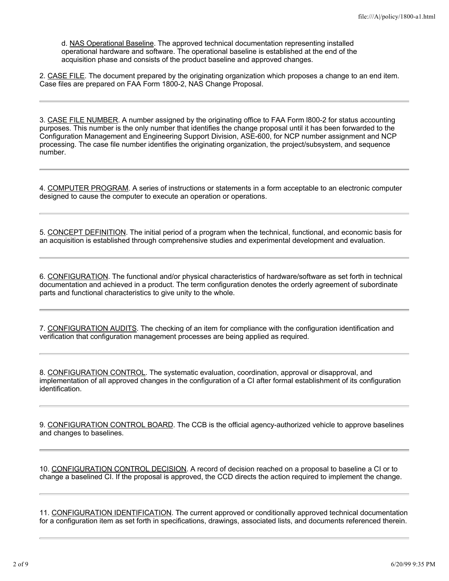d. NAS Operational Baseline. The approved technical documentation representing installed operational hardware and software. The operational baseline is established at the end of the acquisition phase and consists of the product baseline and approved changes.

2. CASE FILE. The document prepared by the originating organization which proposes a change to an end item. Case files are prepared on FAA Form 1800-2, NAS Change Proposal.

3. CASE FILE NUMBER. A number assigned by the originating office to FAA Form l800-2 for status accounting purposes. This number is the only number that identifies the change proposal until it has been forwarded to the Configuration Management and Engineering Support Division, ASE-600, for NCP number assignment and NCP processing. The case file number identifies the originating organization, the project/subsystem, and sequence number.

4. COMPUTER PROGRAM. A series of instructions or statements in a form acceptable to an electronic computer designed to cause the computer to execute an operation or operations.

5. CONCEPT DEFINITION. The initial period of a program when the technical, functional, and economic basis for an acquisition is established through comprehensive studies and experimental development and evaluation.

6. CONFIGURATION. The functional and/or physical characteristics of hardware/software as set forth in technical documentation and achieved in a product. The term configuration denotes the orderly agreement of subordinate parts and functional characteristics to give unity to the whole.

7. CONFIGURATION AUDITS. The checking of an item for compliance with the configuration identification and verification that configuration management processes are being applied as required.

8. CONFIGURATION CONTROL. The systematic evaluation, coordination, approval or disapproval, and implementation of all approved changes in the configuration of a CI after formal establishment of its configuration identification.

9. CONFIGURATION CONTROL BOARD. The CCB is the official agency-authorized vehicle to approve baselines and changes to baselines.

10. CONFIGURATION CONTROL DECISION. A record of decision reached on a proposal to baseline a CI or to change a baselined CI. If the proposal is approved, the CCD directs the action required to implement the change.

11. CONFIGURATION IDENTIFICATION. The current approved or conditionally approved technical documentation for a configuration item as set forth in specifications, drawings, associated lists, and documents referenced therein.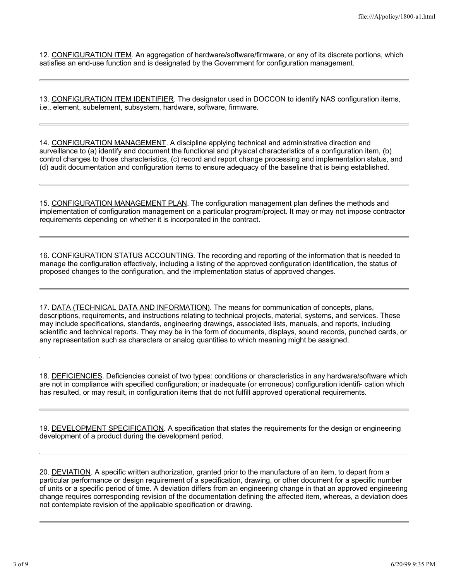12. CONFIGURATION ITEM. An aggregation of hardware/software/firmware, or any of its discrete portions, which satisfies an end-use function and is designated by the Government for configuration management.

13. CONFIGURATION ITEM IDENTIFIER. The designator used in DOCCON to identify NAS configuration items, i.e., element, subelement, subsystem, hardware, software, firmware.

14. CONFIGURATION MANAGEMENT. A discipline applying technical and administrative direction and surveillance to (a) identify and document the functional and physical characteristics of a configuration item, (b) control changes to those characteristics, (c) record and report change processing and implementation status, and (d) audit documentation and configuration items to ensure adequacy of the baseline that is being established.

15. CONFIGURATION MANAGEMENT PLAN. The configuration management plan defines the methods and implementation of configuration management on a particular program/project. It may or may not impose contractor requirements depending on whether it is incorporated in the contract.

16. CONFIGURATION STATUS ACCOUNTING. The recording and reporting of the information that is needed to manage the configuration effectively, including a listing of the approved configuration identification, the status of proposed changes to the configuration, and the implementation status of approved changes.

17. DATA (TECHNICAL DATA AND INFORMATION). The means for communication of concepts, plans, descriptions, requirements, and instructions relating to technical projects, material, systems, and services. These may include specifications, standards, engineering drawings, associated lists, manuals, and reports, including scientific and technical reports. They may be in the form of documents, displays, sound records, punched cards, or any representation such as characters or analog quantities to which meaning might be assigned.

18. DEFICIENCIES. Deficiencies consist of two types: conditions or characteristics in any hardware/software which are not in compliance with specified configuration; or inadequate (or erroneous) configuration identifi- cation which has resulted, or may result, in configuration items that do not fulfill approved operational requirements.

19. DEVELOPMENT SPECIFICATION. A specification that states the requirements for the design or engineering development of a product during the development period.

20. DEVIATION. A specific written authorization, granted prior to the manufacture of an item, to depart from a particular performance or design requirement of a specification, drawing, or other document for a specific number of units or a specific period of time. A deviation differs from an engineering change in that an approved engineering change requires corresponding revision of the documentation defining the affected item, whereas, a deviation does not contemplate revision of the applicable specification or drawing.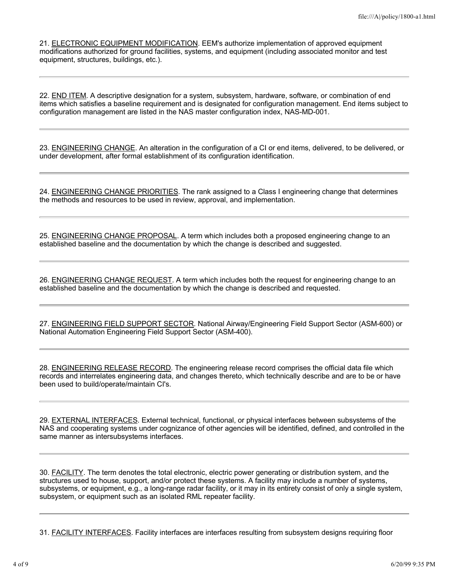21. ELECTRONIC EQUIPMENT MODIFICATION. EEM's authorize implementation of approved equipment modifications authorized for ground facilities, systems, and equipment (including associated monitor and test equipment, structures, buildings, etc.).

22. END ITEM. A descriptive designation for a system, subsystem, hardware, software, or combination of end items which satisfies a baseline requirement and is designated for configuration management. End items subject to configuration management are listed in the NAS master configuration index, NAS-MD-001.

23. ENGINEERING CHANGE. An alteration in the configuration of a CI or end items, delivered, to be delivered, or under development, after formal establishment of its configuration identification.

24. ENGINEERING CHANGE PRIORITIES. The rank assigned to a Class I engineering change that determines the methods and resources to be used in review, approval, and implementation.

25. ENGINEERING CHANGE PROPOSAL. A term which includes both a proposed engineering change to an established baseline and the documentation by which the change is described and suggested.

26. ENGINEERING CHANGE REQUEST. A term which includes both the request for engineering change to an established baseline and the documentation by which the change is described and requested.

27. ENGINEERING FIELD SUPPORT SECTOR. National Airway/Engineering Field Support Sector (ASM-600) or National Automation Engineering Field Support Sector (ASM-400).

28. ENGINEERING RELEASE RECORD. The engineering release record comprises the official data file which records and interrelates engineering data, and changes thereto, which technically describe and are to be or have been used to build/operate/maintain CI's.

29. EXTERNAL INTERFACES. External technical, functional, or physical interfaces between subsystems of the NAS and cooperating systems under cognizance of other agencies will be identified, defined, and controlled in the same manner as intersubsystems interfaces.

30. **FACILITY**. The term denotes the total electronic, electric power generating or distribution system, and the structures used to house, support, and/or protect these systems. A facility may include a number of systems, subsystems, or equipment, e.g., a long-range radar facility, or it may in its entirety consist of only a single system, subsystem, or equipment such as an isolated RML repeater facility.

31. FACILITY INTERFACES. Facility interfaces are interfaces resulting from subsystem designs requiring floor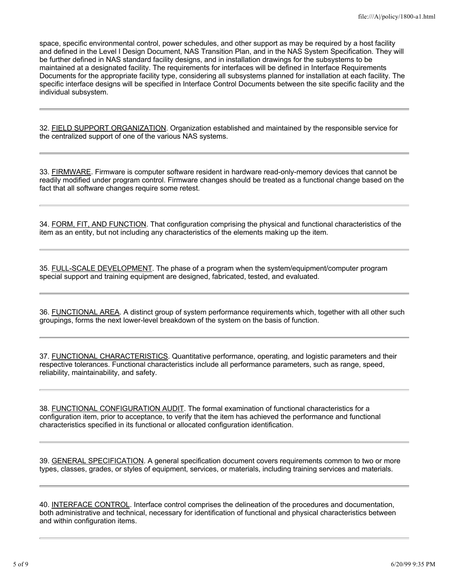space, specific environmental control, power schedules, and other support as may be required by a host facility and defined in the Level I Design Document, NAS Transition Plan, and in the NAS System Specification. They will be further defined in NAS standard facility designs, and in installation drawings for the subsystems to be maintained at a designated facility. The requirements for interfaces will be defined in Interface Requirements Documents for the appropriate facility type, considering all subsystems planned for installation at each facility. The specific interface designs will be specified in Interface Control Documents between the site specific facility and the individual subsystem.

32. FIELD SUPPORT ORGANIZATION. Organization established and maintained by the responsible service for the centralized support of one of the various NAS systems.

33. FIRMWARE. Firmware is computer software resident in hardware read-only-memory devices that cannot be readily modified under program control. Firmware changes should be treated as a functional change based on the fact that all software changes require some retest.

34. FORM, FIT, AND FUNCTION. That configuration comprising the physical and functional characteristics of the item as an entity, but not including any characteristics of the elements making up the item.

35. FULL-SCALE DEVELOPMENT. The phase of a program when the system/equipment/computer program special support and training equipment are designed, fabricated, tested, and evaluated.

36. FUNCTIONAL AREA. A distinct group of system performance requirements which, together with all other such groupings, forms the next lower-level breakdown of the system on the basis of function.

37. FUNCTIONAL CHARACTERISTICS. Quantitative performance, operating, and logistic parameters and their respective tolerances. Functional characteristics include all performance parameters, such as range, speed, reliability, maintainability, and safety.

38. FUNCTIONAL CONFIGURATION AUDIT. The formal examination of functional characteristics for a configuration item, prior to acceptance, to verify that the item has achieved the performance and functional characteristics specified in its functional or allocated configuration identification.

39. GENERAL SPECIFICATION. A general specification document covers requirements common to two or more types, classes, grades, or styles of equipment, services, or materials, including training services and materials.

40. INTERFACE CONTROL. Interface control comprises the delineation of the procedures and documentation, both administrative and technical, necessary for identification of functional and physical characteristics between and within configuration items.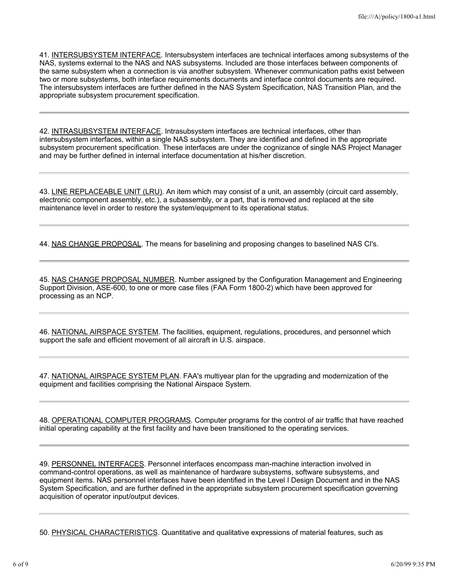41. INTERSUBSYSTEM INTERFACE. Intersubsystem interfaces are technical interfaces among subsystems of the NAS, systems external to the NAS and NAS subsystems. Included are those interfaces between components of the same subsystem when a connection is via another subsystem. Whenever communication paths exist between two or more subsystems, both interface requirements documents and interface control documents are required. The intersubsystem interfaces are further defined in the NAS System Specification, NAS Transition Plan, and the appropriate subsystem procurement specification.

42. INTRASUBSYSTEM INTERFACE. Intrasubsystem interfaces are technical interfaces, other than intersubsystem interfaces, within a single NAS subsystem. They are identified and defined in the appropriate subsystem procurement specification. These interfaces are under the cognizance of single NAS Project Manager and may be further defined in internal interface documentation at his/her discretion.

43. LINE REPLACEABLE UNIT (LRU). An item which may consist of a unit, an assembly (circuit card assembly, electronic component assembly, etc.), a subassembly, or a part, that is removed and replaced at the site maintenance level in order to restore the system/equipment to its operational status.

44. NAS CHANGE PROPOSAL. The means for baselining and proposing changes to baselined NAS CI's.

45. NAS CHANGE PROPOSAL NUMBER. Number assigned by the Configuration Management and Engineering Support Division, ASE-600, to one or more case files (FAA Form 1800-2) which have been approved for processing as an NCP.

46. NATIONAL AIRSPACE SYSTEM. The facilities, equipment, regulations, procedures, and personnel which support the safe and efficient movement of all aircraft in U.S. airspace.

47. NATIONAL AIRSPACE SYSTEM PLAN. FAA's multiyear plan for the upgrading and modernization of the equipment and facilities comprising the National Airspace System.

48. OPERATIONAL COMPUTER PROGRAMS. Computer programs for the control of air traffic that have reached initial operating capability at the first facility and have been transitioned to the operating services.

49. PERSONNEL INTERFACES. Personnel interfaces encompass man-machine interaction involved in command-control operations, as well as maintenance of hardware subsystems, software subsystems, and equipment items. NAS personnel interfaces have been identified in the Level I Design Document and in the NAS System Specification, and are further defined in the appropriate subsystem procurement specification governing acquisition of operator input/output devices.

50. PHYSICAL CHARACTERISTICS. Quantitative and qualitative expressions of material features, such as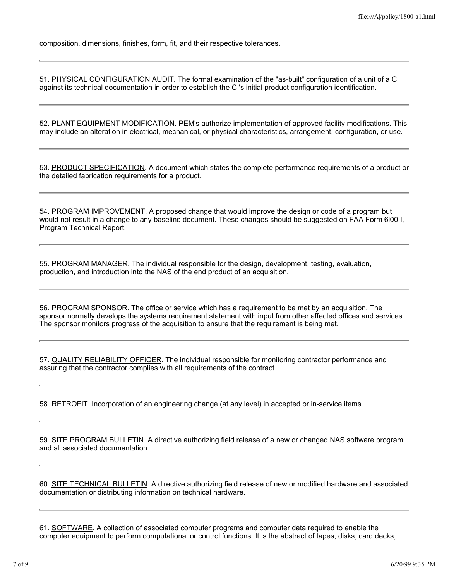composition, dimensions, finishes, form, fit, and their respective tolerances.

51. PHYSICAL CONFIGURATION AUDIT. The formal examination of the "as-built" configuration of a unit of a CI against its technical documentation in order to establish the CI's initial product configuration identification.

52. PLANT EQUIPMENT MODIFICATION. PEM's authorize implementation of approved facility modifications. This may include an alteration in electrical, mechanical, or physical characteristics, arrangement, configuration, or use.

53. PRODUCT SPECIFICATION. A document which states the complete performance requirements of a product or the detailed fabrication requirements for a product.

54. PROGRAM IMPROVEMENT. A proposed change that would improve the design or code of a program but would not result in a change to any baseline document. These changes should be suggested on FAA Form 6l00-l, Program Technical Report.

55. PROGRAM MANAGER. The individual responsible for the design, development, testing, evaluation, production, and introduction into the NAS of the end product of an acquisition.

56. PROGRAM SPONSOR. The office or service which has a requirement to be met by an acquisition. The sponsor normally develops the systems requirement statement with input from other affected offices and services. The sponsor monitors progress of the acquisition to ensure that the requirement is being met.

57. QUALITY RELIABILITY OFFICER. The individual responsible for monitoring contractor performance and assuring that the contractor complies with all requirements of the contract.

58. RETROFIT. Incorporation of an engineering change (at any level) in accepted or in-service items.

59. SITE PROGRAM BULLETIN. A directive authorizing field release of a new or changed NAS software program and all associated documentation.

60. SITE TECHNICAL BULLETIN. A directive authorizing field release of new or modified hardware and associated documentation or distributing information on technical hardware.

61. SOFTWARE. A collection of associated computer programs and computer data required to enable the computer equipment to perform computational or control functions. It is the abstract of tapes, disks, card decks,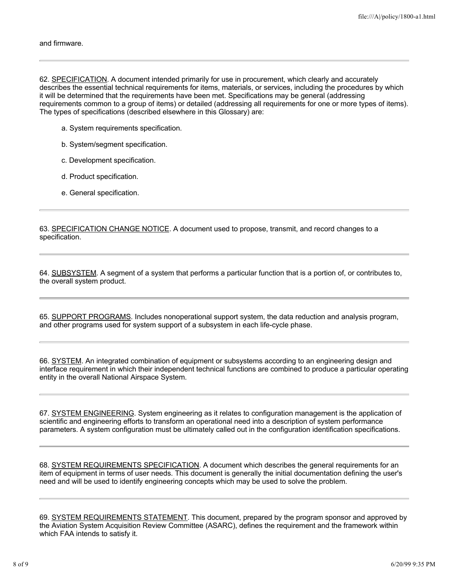62. SPECIFICATION. A document intended primarily for use in procurement, which clearly and accurately describes the essential technical requirements for items, materials, or services, including the procedures by which it will be determined that the requirements have been met. Specifications may be general (addressing requirements common to a group of items) or detailed (addressing all requirements for one or more types of items). The types of specifications (described elsewhere in this Glossary) are:

- a. System requirements specification.
- b. System/segment specification.
- c. Development specification.
- d. Product specification.
- e. General specification.

63. SPECIFICATION CHANGE NOTICE. A document used to propose, transmit, and record changes to a specification.

64. SUBSYSTEM. A segment of a system that performs a particular function that is a portion of, or contributes to, the overall system product.

65. SUPPORT PROGRAMS. Includes nonoperational support system, the data reduction and analysis program, and other programs used for system support of a subsystem in each life-cycle phase.

66. SYSTEM. An integrated combination of equipment or subsystems according to an engineering design and interface requirement in which their independent technical functions are combined to produce a particular operating entity in the overall National Airspace System.

67. SYSTEM ENGINEERING. System engineering as it relates to configuration management is the application of scientific and engineering efforts to transform an operational need into a description of system performance parameters. A system configuration must be ultimately called out in the configuration identification specifications.

68. SYSTEM REQUIREMENTS SPECIFICATION. A document which describes the general requirements for an item of equipment in terms of user needs. This document is generally the initial documentation defining the user's need and will be used to identify engineering concepts which may be used to solve the problem.

69. SYSTEM REQUIREMENTS STATEMENT. This document, prepared by the program sponsor and approved by the Aviation System Acquisition Review Committee (ASARC), defines the requirement and the framework within which FAA intends to satisfy it.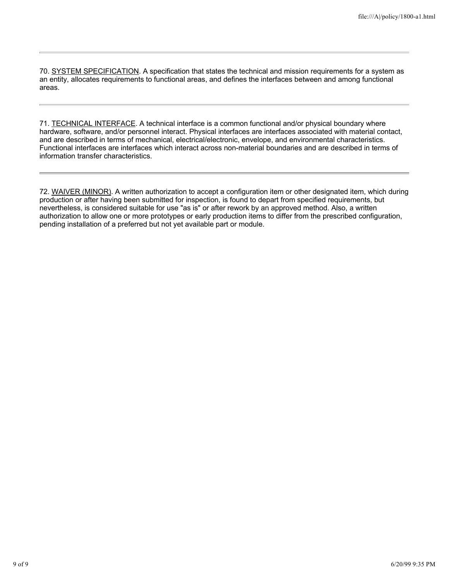70. SYSTEM SPECIFICATION. A specification that states the technical and mission requirements for a system as an entity, allocates requirements to functional areas, and defines the interfaces between and among functional areas.

71. TECHNICAL INTERFACE. A technical interface is a common functional and/or physical boundary where hardware, software, and/or personnel interact. Physical interfaces are interfaces associated with material contact, and are described in terms of mechanical, electrical/electronic, envelope, and environmental characteristics. Functional interfaces are interfaces which interact across non-material boundaries and are described in terms of information transfer characteristics.

72. WAIVER (MINOR). A written authorization to accept a configuration item or other designated item, which during production or after having been submitted for inspection, is found to depart from specified requirements, but nevertheless, is considered suitable for use "as is" or after rework by an approved method. Also, a written authorization to allow one or more prototypes or early production items to differ from the prescribed configuration, pending installation of a preferred but not yet available part or module.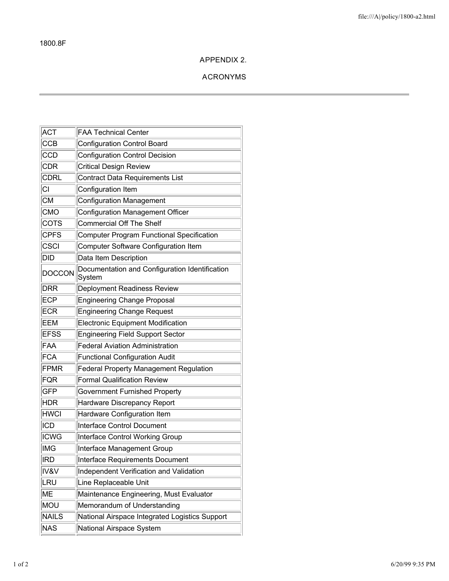# **APPENDIX 2.**

# **ACRONYMS**

| <b>ACT</b>    | <b>FAA Technical Center</b>                              |  |
|---------------|----------------------------------------------------------|--|
| CCB           | <b>Configuration Control Board</b>                       |  |
| <b>CCD</b>    | <b>Configuration Control Decision</b>                    |  |
| CDR           | <b>Critical Design Review</b>                            |  |
| <b>CDRL</b>   | <b>Contract Data Requirements List</b>                   |  |
| СĪ            | Configuration Item                                       |  |
| <b>CM</b>     | <b>Configuration Management</b>                          |  |
| <b>CMO</b>    | <b>Configuration Management Officer</b>                  |  |
| <b>COTS</b>   | <b>Commercial Off The Shelf</b>                          |  |
| <b>CPFS</b>   | <b>Computer Program Functional Specification</b>         |  |
| csc           | Computer Software Configuration Item                     |  |
| DID           | Data Item Description                                    |  |
| <b>DOCCON</b> | Documentation and Configuration Identification<br>System |  |
| DRR           | <b>Deployment Readiness Review</b>                       |  |
| ECP           | <b>Engineering Change Proposal</b>                       |  |
| ECR           | <b>Engineering Change Request</b>                        |  |
| EEM           | <b>Electronic Equipment Modification</b>                 |  |
| <b>EFSS</b>   | <b>Engineering Field Support Sector</b>                  |  |
| FAA           | <b>Federal Aviation Administration</b>                   |  |
| FCA           | <b>Functional Configuration Audit</b>                    |  |
| FPMR          | <b>Federal Property Management Regulation</b>            |  |
| FQR           | <b>Formal Qualification Review</b>                       |  |
| <b>GFP</b>    | <b>Government Furnished Property</b>                     |  |
| <b>HDR</b>    | Hardware Discrepancy Report                              |  |
| <b>HWCI</b>   | Hardware Configuration Item                              |  |
| ICD           | <b>Interface Control Document</b>                        |  |
| <b>ICWG</b>   | Interface Control Working Group                          |  |
| ∣IMG          | Interface Management Group                               |  |
| <b>IRD</b>    | Interface Requirements Document                          |  |
| IV&V          | Independent Verification and Validation                  |  |
| ∣LRU          | Line Replaceable Unit                                    |  |
| ME            | Maintenance Engineering, Must Evaluator                  |  |
| MOU           | Memorandum of Understanding                              |  |
| <b>NAILS</b>  | National Airspace Integrated Logistics Support           |  |
| NAS           | National Airspace System                                 |  |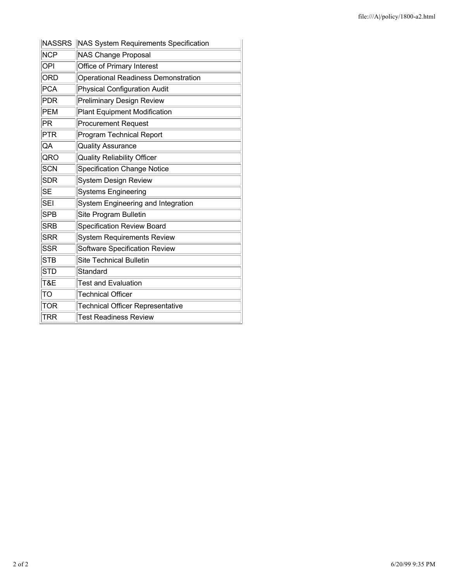| <b>NASSRS</b> | <b>NAS System Requirements Specification</b> |  |
|---------------|----------------------------------------------|--|
| <b>NCP</b>    | <b>NAS Change Proposal</b>                   |  |
| OPI           | Office of Primary Interest                   |  |
| <b>ORD</b>    | <b>Operational Readiness Demonstration</b>   |  |
| <b>PCA</b>    | <b>Physical Configuration Audit</b>          |  |
| <b>PDR</b>    | <b>Preliminary Design Review</b>             |  |
| <b>PEM</b>    | <b>Plant Equipment Modification</b>          |  |
| PR            | <b>Procurement Request</b>                   |  |
| PTR           | <b>Program Technical Report</b>              |  |
| QA            | <b>Quality Assurance</b>                     |  |
| QRO           | <b>Quality Reliability Officer</b>           |  |
| <b>SCN</b>    | <b>Specification Change Notice</b>           |  |
| <b>SDR</b>    | <b>System Design Review</b>                  |  |
| <b>SE</b>     | <b>Systems Engineering</b>                   |  |
| <b>SEI</b>    | System Engineering and Integration           |  |
| <b>SPB</b>    | Site Program Bulletin                        |  |
| <b>SRB</b>    | <b>Specification Review Board</b>            |  |
| <b>SRR</b>    | <b>System Requirements Review</b>            |  |
| <b>SSR</b>    | <b>Software Specification Review</b>         |  |
| <b>STB</b>    | <b>Site Technical Bulletin</b>               |  |
| <b>STD</b>    | Standard                                     |  |
| T&E           | <b>Test and Evaluation</b>                   |  |
| TO            | <b>Technical Officer</b>                     |  |
| <b>TOR</b>    | <b>Technical Officer Representative</b>      |  |
| <b>TRR</b>    | <b>Test Readiness Review</b>                 |  |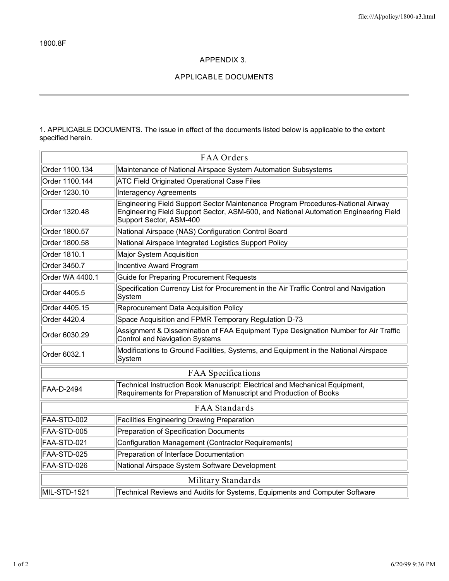## **APPENDIX 3.**

# **APPLICABLE DOCUMENTS**

1. APPLICABLE DOCUMENTS. The issue in effect of the documents listed below is applicable to the extent specified herein.

| FAA Orders           |                                                                                                                                                                                                    |  |  |
|----------------------|----------------------------------------------------------------------------------------------------------------------------------------------------------------------------------------------------|--|--|
| Order 1100.134       | Maintenance of National Airspace System Automation Subsystems                                                                                                                                      |  |  |
| Order 1100.144       | <b>ATC Field Originated Operational Case Files</b>                                                                                                                                                 |  |  |
| Order 1230.10        | <b>Interagency Agreements</b>                                                                                                                                                                      |  |  |
| Order 1320.48        | Engineering Field Support Sector Maintenance Program Procedures-National Airway<br>Engineering Field Support Sector, ASM-600, and National Automation Engineering Field<br>Support Sector, ASM-400 |  |  |
| Order 1800.57        | National Airspace (NAS) Configuration Control Board                                                                                                                                                |  |  |
| Order 1800.58        | National Airspace Integrated Logistics Support Policy                                                                                                                                              |  |  |
| Order 1810.1         | Major System Acquisition                                                                                                                                                                           |  |  |
| Order 3450.7         | Incentive Award Program                                                                                                                                                                            |  |  |
| Order WA 4400.1      | Guide for Preparing Procurement Requests                                                                                                                                                           |  |  |
| Order 4405.5         | Specification Currency List for Procurement in the Air Traffic Control and Navigation<br>System                                                                                                    |  |  |
| Order 4405.15        | Reprocurement Data Acquisition Policy                                                                                                                                                              |  |  |
| Order 4420.4         | Space Acquisition and FPMR Temporary Regulation D-73                                                                                                                                               |  |  |
| Order 6030.29        | Assignment & Dissemination of FAA Equipment Type Designation Number for Air Traffic<br><b>Control and Navigation Systems</b>                                                                       |  |  |
| Order 6032.1         | Modifications to Ground Facilities, Systems, and Equipment in the National Airspace<br>System                                                                                                      |  |  |
| FAA Specifications   |                                                                                                                                                                                                    |  |  |
| FAA-D-2494           | Technical Instruction Book Manuscript: Electrical and Mechanical Equipment,<br>Requirements for Preparation of Manuscript and Production of Books                                                  |  |  |
| <b>FAA Standards</b> |                                                                                                                                                                                                    |  |  |
| FAA-STD-002          | <b>Facilities Engineering Drawing Preparation</b>                                                                                                                                                  |  |  |
| FAA-STD-005          | Preparation of Specification Documents                                                                                                                                                             |  |  |
| FAA-STD-021          | Configuration Management (Contractor Requirements)                                                                                                                                                 |  |  |
| FAA-STD-025          | Preparation of Interface Documentation                                                                                                                                                             |  |  |
| FAA-STD-026          | National Airspace System Software Development                                                                                                                                                      |  |  |
| Military Standards   |                                                                                                                                                                                                    |  |  |
| MIL-STD-1521         | Technical Reviews and Audits for Systems, Equipments and Computer Software                                                                                                                         |  |  |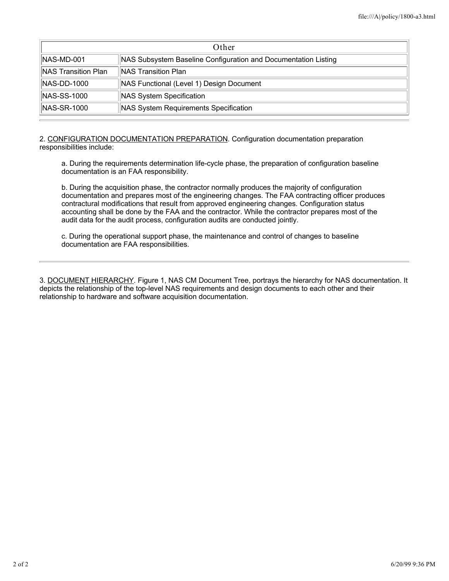| Other                                                  |                                                                |  |
|--------------------------------------------------------|----------------------------------------------------------------|--|
| INAS-MD-001                                            | NAS Subsystem Baseline Configuration and Documentation Listing |  |
| <b>NAS Transition Plan</b>                             | <b>INAS Transition Plan</b>                                    |  |
| $\vert$ NAS-DD-1000                                    | NAS Functional (Level 1) Design Document                       |  |
| <b>NAS-SS-1000</b>                                     | NAS System Specification                                       |  |
| $NAS-SR-1000$<br>NAS System Requirements Specification |                                                                |  |

2. CONFIGURATION DOCUMENTATION PREPARATION. Configuration documentation preparation responsibilities include:

a. During the requirements determination life-cycle phase, the preparation of configuration baseline documentation is an FAA responsibility.

b. During the acquisition phase, the contractor normally produces the majority of configuration documentation and prepares most of the engineering changes. The FAA contracting officer produces contractural modifications that result from approved engineering changes. Configuration status accounting shall be done by the FAA and the contractor. While the contractor prepares most of the audit data for the audit process, configuration audits are conducted jointly.

c. During the operational support phase, the maintenance and control of changes to baseline documentation are FAA responsibilities.

3. DOCUMENT HIERARCHY. Figure 1, NAS CM Document Tree, portrays the hierarchy for NAS documentation. It depicts the relationship of the top-level NAS requirements and design documents to each other and their relationship to hardware and software acquisition documentation.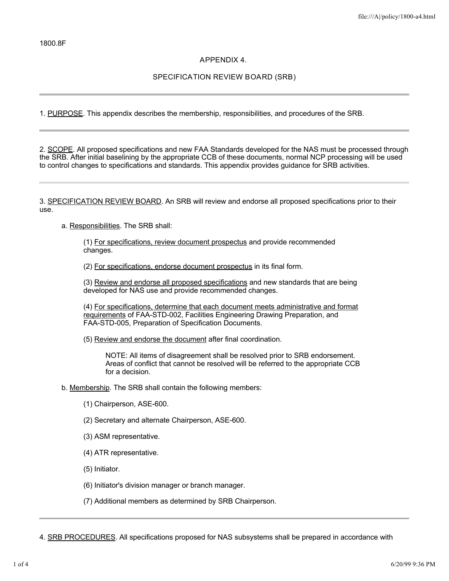## **APPENDIX 4.**

## **SPECIFICATION REVIEW BOARD (SRB)**

1. PURPOSE. This appendix describes the membership, responsibilities, and procedures of the SRB.

2. SCOPE. All proposed specifications and new FAA Standards developed for the NAS must be processed through the SRB. After initial baselining by the appropriate CCB of these documents, normal NCP processing will be used to control changes to specifications and standards. This appendix provides guidance for SRB activities.

3. SPECIFICATION REVIEW BOARD. An SRB will review and endorse all proposed specifications prior to their use.

a. Responsibilities. The SRB shall:

(1) For specifications, review document prospectus and provide recommended changes.

(2) For specifications, endorse document prospectus in its final form.

(3) Review and endorse all proposed specifications and new standards that are being developed for NAS use and provide recommended changes.

(4) For specifications, determine that each document meets administrative and format requirements of FAA-STD-002, Facilities Engineering Drawing Preparation, and FAA-STD-005, Preparation of Specification Documents.

(5) Review and endorse the document after final coordination.

NOTE: All items of disagreement shall be resolved prior to SRB endorsement. Areas of conflict that cannot be resolved will be referred to the appropriate CCB for a decision.

b. Membership. The SRB shall contain the following members:

- (1) Chairperson, ASE-600.
- (2) Secretary and alternate Chairperson, ASE-600.
- (3) ASM representative.
- (4) ATR representative.
- (5) Initiator.
- (6) Initiator's division manager or branch manager.

(7) Additional members as determined by SRB Chairperson.

4. SRB PROCEDURES. All specifications proposed for NAS subsystems shall be prepared in accordance with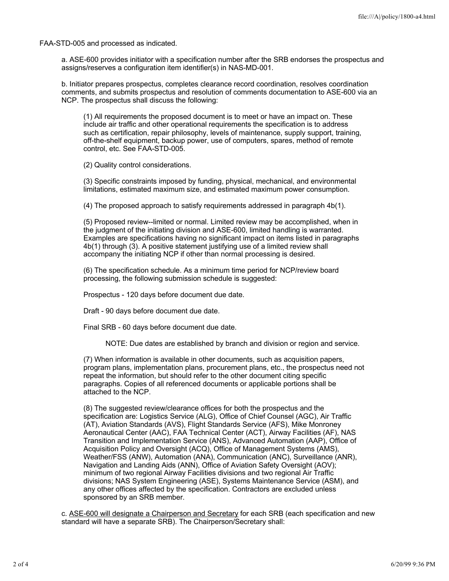FAA-STD-005 and processed as indicated.

a. ASE-600 provides initiator with a specification number after the SRB endorses the prospectus and assigns/reserves a configuration item identifier(s) in NAS-MD-001.

b. Initiator prepares prospectus, completes clearance record coordination, resolves coordination comments, and submits prospectus and resolution of comments documentation to ASE-600 via an NCP. The prospectus shall discuss the following:

(1) All requirements the proposed document is to meet or have an impact on. These include air traffic and other operational requirements the specification is to address such as certification, repair philosophy, levels of maintenance, supply support, training, off-the-shelf equipment, backup power, use of computers, spares, method of remote control, etc. See FAA-STD-005.

(2) Quality control considerations.

(3) Specific constraints imposed by funding, physical, mechanical, and environmental limitations, estimated maximum size, and estimated maximum power consumption.

(4) The proposed approach to satisfy requirements addressed in paragraph 4b(1).

(5) Proposed review--limited or normal. Limited review may be accomplished, when in the judgment of the initiating division and ASE-600, limited handling is warranted. Examples are specifications having no significant impact on items listed in paragraphs 4b(1) through (3). A positive statement justifying use of a limited review shall accompany the initiating NCP if other than normal processing is desired.

(6) The specification schedule. As a minimum time period for NCP/review board processing, the following submission schedule is suggested:

Prospectus - 120 days before document due date.

Draft - 90 days before document due date.

Final SRB - 60 days before document due date.

NOTE: Due dates are established by branch and division or region and service.

(7) When information is available in other documents, such as acquisition papers, program plans, implementation plans, procurement plans, etc., the prospectus need not repeat the information, but should refer to the other document citing specific paragraphs. Copies of all referenced documents or applicable portions shall be attached to the NCP.

(8) The suggested review/clearance offices for both the prospectus and the specification are: Logistics Service (ALG), Office of Chief Counsel (AGC), Air Traffic (AT), Aviation Standards (AVS), Flight Standards Service (AFS), Mike Monroney Aeronautical Center (AAC), FAA Technical Center (ACT), Airway Facilities (AF), NAS Transition and Implementation Service (ANS), Advanced Automation (AAP), Office of Acquisition Policy and Oversight (ACQ), Office of Management Systems (AMS), Weather/FSS (ANW), Automation (ANA), Communication (ANC), Surveillance (ANR), Navigation and Landing Aids (ANN), Office of Aviation Safety Oversight (AOV); minimum of two regional Airway Facilities divisions and two regional Air Traffic divisions; NAS System Engineering (ASE), Systems Maintenance Service (ASM), and any other offices affected by the specification. Contractors are excluded unless sponsored by an SRB member.

c. ASE-600 will designate a Chairperson and Secretary for each SRB (each specification and new standard will have a separate SRB). The Chairperson/Secretary shall: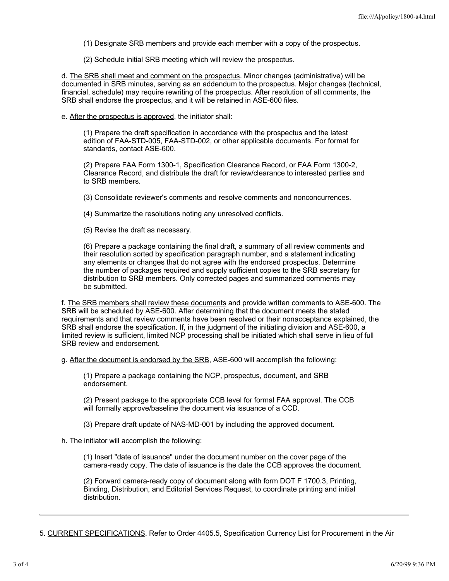- (1) Designate SRB members and provide each member with a copy of the prospectus.
- (2) Schedule initial SRB meeting which will review the prospectus.

d. The SRB shall meet and comment on the prospectus. Minor changes (administrative) will be documented in SRB minutes, serving as an addendum to the prospectus. Major changes (technical, financial, schedule) may require rewriting of the prospectus. After resolution of all comments, the SRB shall endorse the prospectus, and it will be retained in ASE-600 files.

e. After the prospectus is approved, the initiator shall:

(1) Prepare the draft specification in accordance with the prospectus and the latest edition of FAA-STD-005, FAA-STD-002, or other applicable documents. For format for standards, contact ASE-600.

(2) Prepare FAA Form 1300-1, Specification Clearance Record, or FAA Form 1300-2, Clearance Record, and distribute the draft for review/clearance to interested parties and to SRB members.

(3) Consolidate reviewer's comments and resolve comments and nonconcurrences.

(4) Summarize the resolutions noting any unresolved conflicts.

(5) Revise the draft as necessary.

(6) Prepare a package containing the final draft, a summary of all review comments and their resolution sorted by specification paragraph number, and a statement indicating any elements or changes that do not agree with the endorsed prospectus. Determine the number of packages required and supply sufficient copies to the SRB secretary for distribution to SRB members. Only corrected pages and summarized comments may be submitted.

f. The SRB members shall review these documents and provide written comments to ASE-600. The SRB will be scheduled by ASE-600. After determining that the document meets the stated requirements and that review comments have been resolved or their nonacceptance explained, the SRB shall endorse the specification. If, in the judgment of the initiating division and ASE-600, a limited review is sufficient, limited NCP processing shall be initiated which shall serve in lieu of full SRB review and endorsement.

g. After the document is endorsed by the SRB, ASE-600 will accomplish the following:

(1) Prepare a package containing the NCP, prospectus, document, and SRB endorsement.

(2) Present package to the appropriate CCB level for formal FAA approval. The CCB will formally approve/baseline the document via issuance of a CCD.

(3) Prepare draft update of NAS-MD-001 by including the approved document.

## h. The initiator will accomplish the following:

(1) Insert "date of issuance" under the document number on the cover page of the camera-ready copy. The date of issuance is the date the CCB approves the document.

(2) Forward camera-ready copy of document along with form DOT F 1700.3, Printing, Binding, Distribution, and Editorial Services Request, to coordinate printing and initial distribution.

5. CURRENT SPECIFICATIONS. Refer to Order 4405.5, Specification Currency List for Procurement in the Air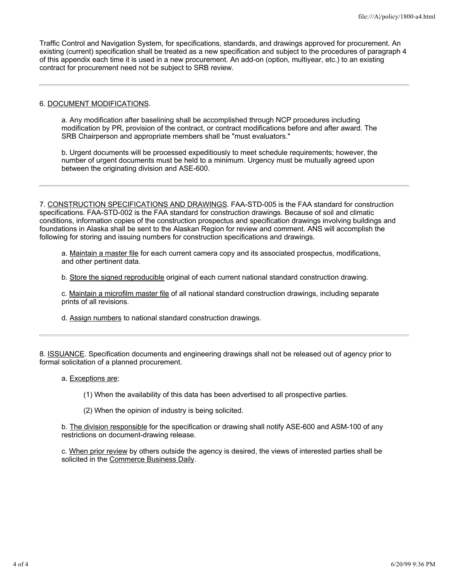Traffic Control and Navigation System, for specifications, standards, and drawings approved for procurement. An existing (current) specification shall be treated as a new specification and subject to the procedures of paragraph 4 of this appendix each time it is used in a new procurement. An add-on (option, multiyear, etc.) to an existing contract for procurement need not be subject to SRB review.

#### 6. DOCUMENT MODIFICATIONS.

a. Any modification after baselining shall be accomplished through NCP procedures including modification by PR, provision of the contract, or contract modifications before and after award. The SRB Chairperson and appropriate members shall be "must evaluators."

b. Urgent documents will be processed expeditiously to meet schedule requirements; however, the number of urgent documents must be held to a minimum. Urgency must be mutually agreed upon between the originating division and ASE-600.

7. CONSTRUCTION SPECIFICATIONS AND DRAWINGS. FAA-STD-005 is the FAA standard for construction specifications. FAA-STD-002 is the FAA standard for construction drawings. Because of soil and climatic conditions, information copies of the construction prospectus and specification drawings involving buildings and foundations in Alaska shall be sent to the Alaskan Region for review and comment. ANS will accomplish the following for storing and issuing numbers for construction specifications and drawings.

a. Maintain a master file for each current camera copy and its associated prospectus, modifications, and other pertinent data.

b. Store the signed reproducible original of each current national standard construction drawing.

c. Maintain a microfilm master file of all national standard construction drawings, including separate prints of all revisions.

d. Assign numbers to national standard construction drawings.

8. ISSUANCE. Specification documents and engineering drawings shall not be released out of agency prior to formal solicitation of a planned procurement.

a. Exceptions are:

(1) When the availability of this data has been advertised to all prospective parties.

(2) When the opinion of industry is being solicited.

b. The division responsible for the specification or drawing shall notify ASE-600 and ASM-100 of any restrictions on document-drawing release.

c. When prior review by others outside the agency is desired, the views of interested parties shall be solicited in the Commerce Business Daily.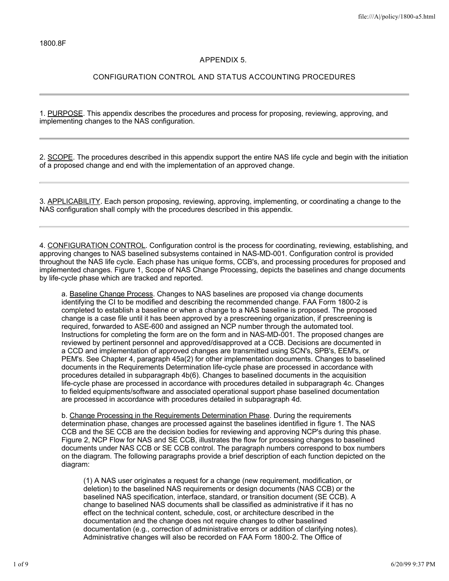# **APPENDIX 5.**

## **CONFIGURATION CONTROL AND STATUS ACCOUNTING PROCEDURES**

1. PURPOSE. This appendix describes the procedures and process for proposing, reviewing, approving, and implementing changes to the NAS configuration.

2. SCOPE. The procedures described in this appendix support the entire NAS life cycle and begin with the initiation of a proposed change and end with the implementation of an approved change.

3. APPLICABILITY. Each person proposing, reviewing, approving, implementing, or coordinating a change to the NAS configuration shall comply with the procedures described in this appendix.

4. CONFIGURATION CONTROL. Configuration control is the process for coordinating, reviewing, establishing, and approving changes to NAS baselined subsystems contained in NAS-MD-001. Configuration control is provided throughout the NAS life cycle. Each phase has unique forms, CCB's, and processing procedures for proposed and implemented changes. Figure 1, Scope of NAS Change Processing, depicts the baselines and change documents by life-cycle phase which are tracked and reported.

a. Baseline Change Process. Changes to NAS baselines are proposed via change documents identifying the CI to be modified and describing the recommended change. FAA Form 1800-2 is completed to establish a baseline or when a change to a NAS baseline is proposed. The proposed change is a case file until it has been approved by a prescreening organization, if prescreening is required, forwarded to ASE-600 and assigned an NCP number through the automated tool. Instructions for completing the form are on the form and in NAS-MD-001. The proposed changes are reviewed by pertinent personnel and approved/disapproved at a CCB. Decisions are documented in a CCD and implementation of approved changes are transmitted using SCN's, SPB's, EEM's, or PEM's. See Chapter 4, paragraph 45a(2) for other implementation documents. Changes to baselined documents in the Requirements Determination life-cycle phase are processed in accordance with procedures detailed in subparagraph 4b(6). Changes to baselined documents in the acquisition life-cycle phase are processed in accordance with procedures detailed in subparagraph 4c. Changes to fielded equipments/software and associated operational support phase baselined documentation are processed in accordance with procedures detailed in subparagraph 4d.

b. Change Processing in the Requirements Determination Phase. During the requirements determination phase, changes are processed against the baselines identified in figure 1. The NAS CCB and the SE CCB are the decision bodies for reviewing and approving NCP's during this phase. Figure 2, NCP Flow for NAS and SE CCB, illustrates the flow for processing changes to baselined documents under NAS CCB or SE CCB control. The paragraph numbers correspond to box numbers on the diagram. The following paragraphs provide a brief description of each function depicted on the diagram:

(1) A NAS user originates a request for a change (new requirement, modification, or deletion) to the baselined NAS requirements or design documents (NAS CCB) or the baselined NAS specification, interface, standard, or transition document (SE CCB). A change to baselined NAS documents shall be classified as administrative if it has no effect on the technical content, schedule, cost, or architecture described in the documentation and the change does not require changes to other baselined documentation (e.g., correction of administrative errors or addition of clarifying notes). Administrative changes will also be recorded on FAA Form 1800-2. The Office of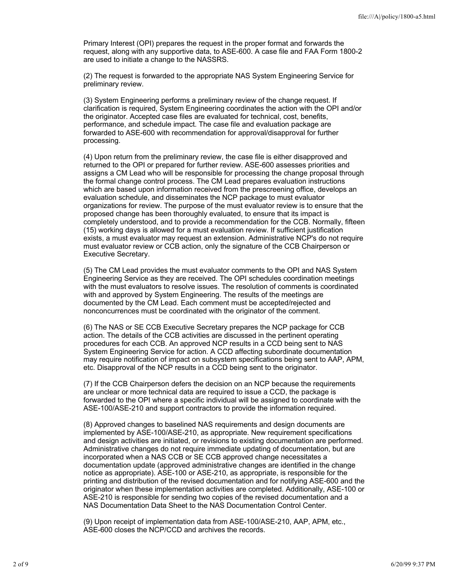Primary Interest (OPI) prepares the request in the proper format and forwards the request, along with any supportive data, to ASE-600. A case file and FAA Form 1800-2 are used to initiate a change to the NASSRS.

(2) The request is forwarded to the appropriate NAS System Engineering Service for preliminary review.

(3) System Engineering performs a preliminary review of the change request. If clarification is required, System Engineering coordinates the action with the OPI and/or the originator. Accepted case files are evaluated for technical, cost, benefits, performance, and schedule impact. The case file and evaluation package are forwarded to ASE-600 with recommendation for approval/disapproval for further processing.

(4) Upon return from the preliminary review, the case file is either disapproved and returned to the OPI or prepared for further review. ASE-600 assesses priorities and assigns a CM Lead who will be responsible for processing the change proposal through the formal change control process. The CM Lead prepares evaluation instructions which are based upon information received from the prescreening office, develops an evaluation schedule, and disseminates the NCP package to must evaluator organizations for review. The purpose of the must evaluator review is to ensure that the proposed change has been thoroughly evaluated, to ensure that its impact is completely understood, and to provide a recommendation for the CCB. Normally, fifteen (15) working days is allowed for a must evaluation review. If sufficient justification exists, a must evaluator may request an extension. Administrative NCP's do not require must evaluator review or CCB action, only the signature of the CCB Chairperson or Executive Secretary.

(5) The CM Lead provides the must evaluator comments to the OPI and NAS System Engineering Service as they are received. The OPI schedules coordination meetings with the must evaluators to resolve issues. The resolution of comments is coordinated with and approved by System Engineering. The results of the meetings are documented by the CM Lead. Each comment must be accepted/rejected and nonconcurrences must be coordinated with the originator of the comment.

(6) The NAS or SE CCB Executive Secretary prepares the NCP package for CCB action. The details of the CCB activities are discussed in the pertinent operating procedures for each CCB. An approved NCP results in a CCD being sent to NAS System Engineering Service for action. A CCD affecting subordinate documentation may require notification of impact on subsystem specifications being sent to AAP, APM, etc. Disapproval of the NCP results in a CCD being sent to the originator.

(7) If the CCB Chairperson defers the decision on an NCP because the requirements are unclear or more technical data are required to issue a CCD, the package is forwarded to the OPI where a specific individual will be assigned to coordinate with the ASE-100/ASE-210 and support contractors to provide the information required.

(8) Approved changes to baselined NAS requirements and design documents are implemented by ASE-100/ASE-210, as appropriate. New requirement specifications and design activities are initiated, or revisions to existing documentation are performed. Administrative changes do not require immediate updating of documentation, but are incorporated when a NAS CCB or SE CCB approved change necessitates a documentation update (approved administrative changes are identified in the change notice as appropriate). ASE-100 or ASE-210, as appropriate, is responsible for the printing and distribution of the revised documentation and for notifying ASE-600 and the originator when these implementation activities are completed. Additionally, ASE-100 or ASE-210 is responsible for sending two copies of the revised documentation and a NAS Documentation Data Sheet to the NAS Documentation Control Center.

(9) Upon receipt of implementation data from ASE-100/ASE-210, AAP, APM, etc., ASE-600 closes the NCP/CCD and archives the records.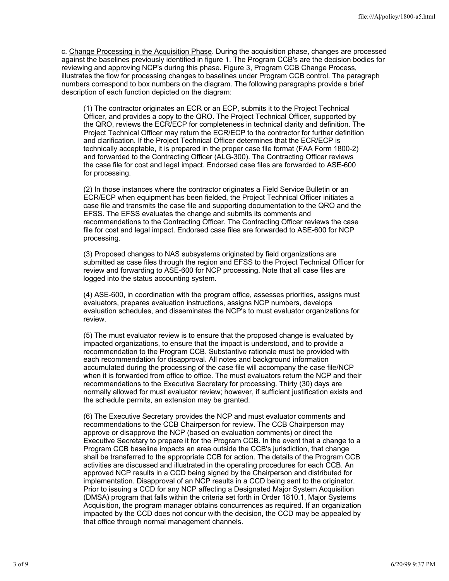c. Change Processing in the Acquisition Phase. During the acquisition phase, changes are processed against the baselines previously identified in figure 1. The Program CCB's are the decision bodies for reviewing and approving NCP's during this phase. Figure 3, Program CCB Change Process, illustrates the flow for processing changes to baselines under Program CCB control. The paragraph numbers correspond to box numbers on the diagram. The following paragraphs provide a brief description of each function depicted on the diagram:

(1) The contractor originates an ECR or an ECP, submits it to the Project Technical Officer, and provides a copy to the QRO. The Project Technical Officer, supported by the QRO, reviews the ECR/ECP for completeness in technical clarity and definition. The Project Technical Officer may return the ECR/ECP to the contractor for further definition and clarification. If the Project Technical Officer determines that the ECR/ECP is technically acceptable, it is prepared in the proper case file format (FAA Form 1800-2) and forwarded to the Contracting Officer (ALG-300). The Contracting Officer reviews the case file for cost and legal impact. Endorsed case files are forwarded to ASE-600 for processing.

(2) In those instances where the contractor originates a Field Service Bulletin or an ECR/ECP when equipment has been fielded, the Project Technical Officer initiates a case file and transmits the case file and supporting documentation to the QRO and the EFSS. The EFSS evaluates the change and submits its comments and recommendations to the Contracting Officer. The Contracting Officer reviews the case file for cost and legal impact. Endorsed case files are forwarded to ASE-600 for NCP processing.

(3) Proposed changes to NAS subsystems originated by field organizations are submitted as case files through the region and EFSS to the Project Technical Officer for review and forwarding to ASE-600 for NCP processing. Note that all case files are logged into the status accounting system.

(4) ASE-600, in coordination with the program office, assesses priorities, assigns must evaluators, prepares evaluation instructions, assigns NCP numbers, develops evaluation schedules, and disseminates the NCP's to must evaluator organizations for review.

(5) The must evaluator review is to ensure that the proposed change is evaluated by impacted organizations, to ensure that the impact is understood, and to provide a recommendation to the Program CCB. Substantive rationale must be provided with each recommendation for disapproval. All notes and background information accumulated during the processing of the case file will accompany the case file/NCP when it is forwarded from office to office. The must evaluators return the NCP and their recommendations to the Executive Secretary for processing. Thirty (30) days are normally allowed for must evaluator review; however, if sufficient justification exists and the schedule permits, an extension may be granted.

(6) The Executive Secretary provides the NCP and must evaluator comments and recommendations to the CCB Chairperson for review. The CCB Chairperson may approve or disapprove the NCP (based on evaluation comments) or direct the Executive Secretary to prepare it for the Program CCB. In the event that a change to a Program CCB baseline impacts an area outside the CCB's jurisdiction, that change shall be transferred to the appropriate CCB for action. The details of the Program CCB activities are discussed and illustrated in the operating procedures for each CCB. An approved NCP results in a CCD being signed by the Chairperson and distributed for implementation. Disapproval of an NCP results in a CCD being sent to the originator. Prior to issuing a CCD for any NCP affecting a Designated Major System Acquisition (DMSA) program that falls within the criteria set forth in Order 1810.1, Major Systems Acquisition, the program manager obtains concurrences as required. If an organization impacted by the CCD does not concur with the decision, the CCD may be appealed by that office through normal management channels.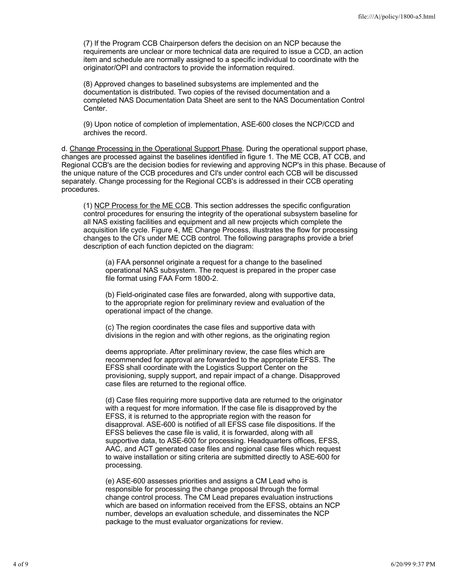(7) If the Program CCB Chairperson defers the decision on an NCP because the requirements are unclear or more technical data are required to issue a CCD, an action item and schedule are normally assigned to a specific individual to coordinate with the originator/OPI and contractors to provide the information required.

(8) Approved changes to baselined subsystems are implemented and the documentation is distributed. Two copies of the revised documentation and a completed NAS Documentation Data Sheet are sent to the NAS Documentation Control Center.

(9) Upon notice of completion of implementation, ASE-600 closes the NCP/CCD and archives the record.

d. Change Processing in the Operational Support Phase. During the operational support phase, changes are processed against the baselines identified in figure 1. The ME CCB, AT CCB, and Regional CCB's are the decision bodies for reviewing and approving NCP's in this phase. Because of the unique nature of the CCB procedures and CI's under control each CCB will be discussed separately. Change processing for the Regional CCB's is addressed in their CCB operating procedures.

(1) NCP Process for the ME CCB. This section addresses the specific configuration control procedures for ensuring the integrity of the operational subsystem baseline for all NAS existing facilities and equipment and all new projects which complete the acquisition life cycle. Figure 4, ME Change Process, illustrates the flow for processing changes to the CI's under ME CCB control. The following paragraphs provide a brief description of each function depicted on the diagram:

(a) FAA personnel originate a request for a change to the baselined operational NAS subsystem. The request is prepared in the proper case file format using FAA Form 1800-2.

(b) Field-originated case files are forwarded, along with supportive data, to the appropriate region for preliminary review and evaluation of the operational impact of the change.

(c) The region coordinates the case files and supportive data with divisions in the region and with other regions, as the originating region

deems appropriate. After preliminary review, the case files which are recommended for approval are forwarded to the appropriate EFSS. The EFSS shall coordinate with the Logistics Support Center on the provisioning, supply support, and repair impact of a change. Disapproved case files are returned to the regional office.

(d) Case files requiring more supportive data are returned to the originator with a request for more information. If the case file is disapproved by the EFSS, it is returned to the appropriate region with the reason for disapproval. ASE-600 is notified of all EFSS case file dispositions. If the EFSS believes the case file is valid, it is forwarded, along with all supportive data, to ASE-600 for processing. Headquarters offices, EFSS, AAC, and ACT generated case files and regional case files which request to waive installation or siting criteria are submitted directly to ASE-600 for processing.

(e) ASE-600 assesses priorities and assigns a CM Lead who is responsible for processing the change proposal through the formal change control process. The CM Lead prepares evaluation instructions which are based on information received from the EFSS, obtains an NCP number, develops an evaluation schedule, and disseminates the NCP package to the must evaluator organizations for review.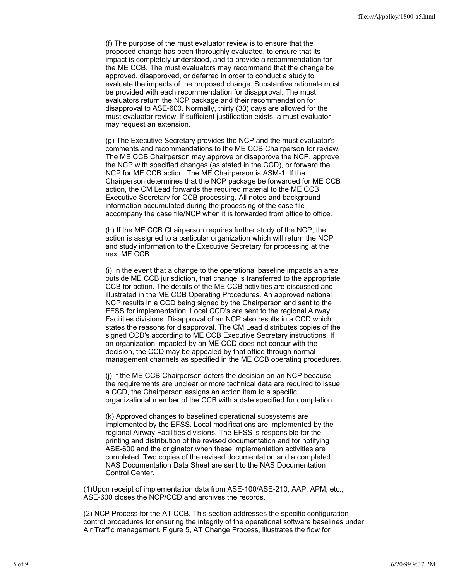(f) The purpose of the must evaluator review is to ensure that the proposed change has been thoroughly evaluated, to ensure that its impact is completely understood, and to provide a recommendation for the ME CCB. The must evaluators may recommend that the change be approved, disapproved, or deferred in order to conduct a study to evaluate the impacts of the proposed change. Substantive rationale must be provided with each recommendation for disapproval. The must evaluators return the NCP package and their recommendation for disapproval to ASE-600. Normally, thirty (30) days are allowed for the must evaluator review. If sufficient justification exists, a must evaluator may request an extension.

(g) The Executive Secretary provides the NCP and the must evaluator's comments and recommendations to the ME CCB Chairperson for review. The ME CCB Chairperson may approve or disapprove the NCP, approve the NCP with specified changes (as stated in the CCD), or forward the NCP for ME CCB action. The ME Chairperson is ASM-1. If the Chairperson determines that the NCP package be forwarded for ME CCB action, the CM Lead forwards the required material to the ME CCB Executive Secretary for CCB processing. All notes and background information accumulated during the processing of the case file accompany the case file/NCP when it is forwarded from office to office.

(h) If the ME CCB Chairperson requires further study of the NCP, the action is assigned to a particular organization which will return the NCP and study information to the Executive Secretary for processing at the next ME CCB.

(i) In the event that a change to the operational baseline impacts an area outside ME CCB jurisdiction, that change is transferred to the appropriate CCB for action. The details of the ME CCB activities are discussed and illustrated in the ME CCB Operating Procedures. An approved national NCP results in a CCD being signed by the Chairperson and sent to the EFSS for implementation. Local CCD's are sent to the regional Airway Facilities divisions. Disapproval of an NCP also results in a CCD which states the reasons for disapproval. The CM Lead distributes copies of the signed CCD's according to ME CCB Executive Secretary instructions. If an organization impacted by an ME CCD does not concur with the decision, the CCD may be appealed by that office through normal management channels as specified in the ME CCB operating procedures.

(j) If the ME CCB Chairperson defers the decision on an NCP because the requirements are unclear or more technical data are required to issue a CCD, the Chairperson assigns an action item to a specific organizational member of the CCB with a date specified for completion.

(k) Approved changes to baselined operational subsystems are implemented by the EFSS. Local modifications are implemented by the regional Airway Facilities divisions. The EFSS is responsible for the printing and distribution of the revised documentation and for notifying ASE-600 and the originator when these implementation activities are completed. Two copies of the revised documentation and a completed NAS Documentation Data Sheet are sent to the NAS Documentation Control Center.

(1)Upon receipt of implementation data from ASE-100/ASE-210, AAP, APM, etc., ASE-600 closes the NCP/CCD and archives the records.

(2) NCP Process for the AT CCB. This section addresses the specific configuration control procedures for ensuring the integrity of the operational software baselines under Air Traffic management. Figure 5, AT Change Process, illustrates the flow for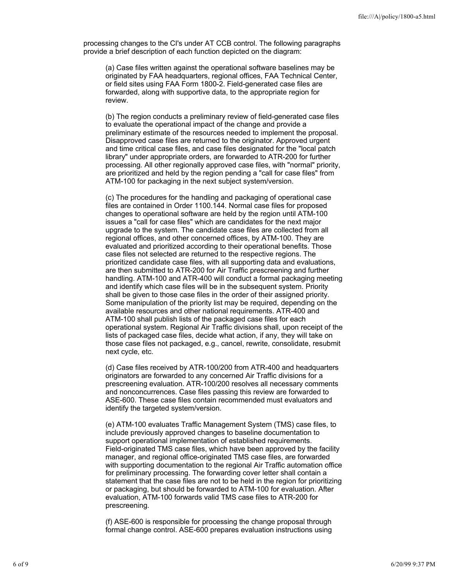processing changes to the CI's under AT CCB control. The following paragraphs provide a brief description of each function depicted on the diagram:

(a) Case files written against the operational software baselines may be originated by FAA headquarters, regional offices, FAA Technical Center, or field sites using FAA Form 1800-2. Field-generated case files are forwarded, along with supportive data, to the appropriate region for review.

(b) The region conducts a preliminary review of field-generated case files to evaluate the operational impact of the change and provide a preliminary estimate of the resources needed to implement the proposal. Disapproved case files are returned to the originator. Approved urgent and time critical case files, and case files designated for the "local patch library" under appropriate orders, are forwarded to ATR-200 for further processing. All other regionally approved case files, with "normal" priority, are prioritized and held by the region pending a "call for case files" from ATM-100 for packaging in the next subject system/version.

(c) The procedures for the handling and packaging of operational case files are contained in Order 1100.144. Normal case files for proposed changes to operational software are held by the region until ATM-100 issues a "call for case files" which are candidates for the next major upgrade to the system. The candidate case files are collected from all regional offices, and other concerned offices, by ATM-100. They are evaluated and prioritized according to their operational benefits. Those case files not selected are returned to the respective regions. The prioritized candidate case files, with all supporting data and evaluations, are then submitted to ATR-200 for Air Traffic prescreening and further handling. ATM-100 and ATR-400 will conduct a formal packaging meeting and identify which case files will be in the subsequent system. Priority shall be given to those case files in the order of their assigned priority. Some manipulation of the priority list may be required, depending on the available resources and other national requirements. ATR-400 and ATM-100 shall publish lists of the packaged case files for each operational system. Regional Air Traffic divisions shall, upon receipt of the lists of packaged case files, decide what action, if any, they will take on those case files not packaged, e.g., cancel, rewrite, consolidate, resubmit next cycle, etc.

(d) Case files received by ATR-100/200 from ATR-400 and headquarters originators are forwarded to any concerned Air Traffic divisions for a prescreening evaluation. ATR-100/200 resolves all necessary comments and nonconcurrences. Case files passing this review are forwarded to ASE-600. These case files contain recommended must evaluators and identify the targeted system/version.

(e) ATM-100 evaluates Traffic Management System (TMS) case files, to include previously approved changes to baseline documentation to support operational implementation of established requirements. Field-originated TMS case files, which have been approved by the facility manager, and regional office-originated TMS case files, are forwarded with supporting documentation to the regional Air Traffic automation office for preliminary processing. The forwarding cover letter shall contain a statement that the case files are not to be held in the region for prioritizing or packaging, but should be forwarded to ATM-100 for evaluation. After evaluation, ATM-100 forwards valid TMS case files to ATR-200 for prescreening.

(f) ASE-600 is responsible for processing the change proposal through formal change control. ASE-600 prepares evaluation instructions using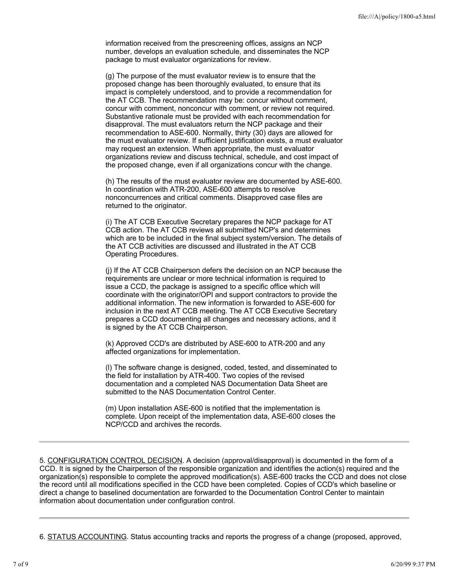information received from the prescreening offices, assigns an NCP number, develops an evaluation schedule, and disseminates the NCP package to must evaluator organizations for review.

(g) The purpose of the must evaluator review is to ensure that the proposed change has been thoroughly evaluated, to ensure that its impact is completely understood, and to provide a recommendation for the AT CCB. The recommendation may be: concur without comment, concur with comment, nonconcur with comment, or review not required. Substantive rationale must be provided with each recommendation for disapproval. The must evaluators return the NCP package and their recommendation to ASE-600. Normally, thirty (30) days are allowed for the must evaluator review. If sufficient justification exists, a must evaluator may request an extension. When appropriate, the must evaluator organizations review and discuss technical, schedule, and cost impact of the proposed change, even if all organizations concur with the change.

(h) The results of the must evaluator review are documented by ASE-600. In coordination with ATR-200, ASE-600 attempts to resolve nonconcurrences and critical comments. Disapproved case files are returned to the originator.

(i) The AT CCB Executive Secretary prepares the NCP package for AT CCB action. The AT CCB reviews all submitted NCP's and determines which are to be included in the final subject system/version. The details of the AT CCB activities are discussed and illustrated in the AT CCB Operating Procedures.

(j) If the AT CCB Chairperson defers the decision on an NCP because the requirements are unclear or more technical information is required to issue a CCD, the package is assigned to a specific office which will coordinate with the originator/OPI and support contractors to provide the additional information. The new information is forwarded to ASE-600 for inclusion in the next AT CCB meeting. The AT CCB Executive Secretary prepares a CCD documenting all changes and necessary actions, and it is signed by the AT CCB Chairperson.

(k) Approved CCD's are distributed by ASE-600 to ATR-200 and any affected organizations for implementation.

(l) The software change is designed, coded, tested, and disseminated to the field for installation by ATR-400. Two copies of the revised documentation and a completed NAS Documentation Data Sheet are submitted to the NAS Documentation Control Center.

(m) Upon installation ASE-600 is notified that the implementation is complete. Upon receipt of the implementation data, ASE-600 closes the NCP/CCD and archives the records.

5. CONFIGURATION CONTROL DECISION. A decision (approval/disapproval) is documented in the form of a CCD. It is signed by the Chairperson of the responsible organization and identifies the action(s) required and the organization(s) responsible to complete the approved modification(s). ASE-600 tracks the CCD and does not close the record until all modifications specified in the CCD have been completed. Copies of CCD's which baseline or direct a change to baselined documentation are forwarded to the Documentation Control Center to maintain information about documentation under configuration control.

6. STATUS ACCOUNTING. Status accounting tracks and reports the progress of a change (proposed, approved,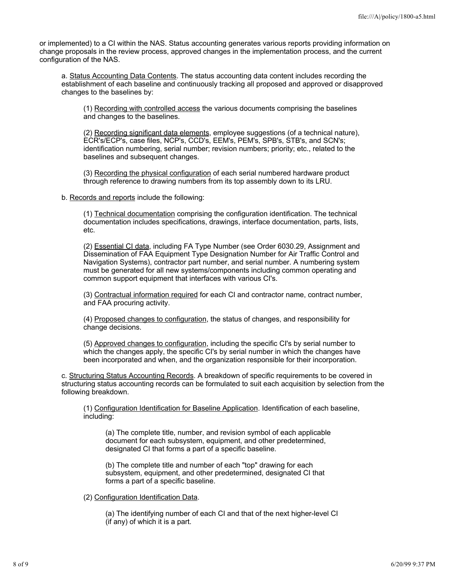or implemented) to a CI within the NAS. Status accounting generates various reports providing information on change proposals in the review process, approved changes in the implementation process, and the current configuration of the NAS.

a. Status Accounting Data Contents. The status accounting data content includes recording the establishment of each baseline and continuously tracking all proposed and approved or disapproved changes to the baselines by:

(1) Recording with controlled access the various documents comprising the baselines and changes to the baselines.

(2) Recording significant data elements, employee suggestions (of a technical nature), ECR's/ECP's, case files, NCP's, CCD's, EEM's, PEM's, SPB's, STB's, and SCN's; identification numbering, serial number; revision numbers; priority; etc., related to the baselines and subsequent changes.

(3) Recording the physical configuration of each serial numbered hardware product through reference to drawing numbers from its top assembly down to its LRU.

b. Records and reports include the following:

(1) Technical documentation comprising the configuration identification. The technical documentation includes specifications, drawings, interface documentation, parts, lists, etc.

(2) Essential CI data, including FA Type Number (see Order 6030.29, Assignment and Dissemination of FAA Equipment Type Designation Number for Air Traffic Control and Navigation Systems), contractor part number, and serial number. A numbering system must be generated for all new systems/components including common operating and common support equipment that interfaces with various CI's.

(3) Contractual information required for each CI and contractor name, contract number, and FAA procuring activity.

(4) Proposed changes to configuration, the status of changes, and responsibility for change decisions.

(5) Approved changes to configuration, including the specific CI's by serial number to which the changes apply, the specific CI's by serial number in which the changes have been incorporated and when, and the organization responsible for their incorporation.

c. Structuring Status Accounting Records. A breakdown of specific requirements to be covered in structuring status accounting records can be formulated to suit each acquisition by selection from the following breakdown.

(1) Configuration Identification for Baseline Application. Identification of each baseline, including:

(a) The complete title, number, and revision symbol of each applicable document for each subsystem, equipment, and other predetermined, designated CI that forms a part of a specific baseline.

(b) The complete title and number of each "top" drawing for each subsystem, equipment, and other predetermined, designated CI that forms a part of a specific baseline.

(2) Configuration Identification Data.

(a) The identifying number of each CI and that of the next higher-level CI (if any) of which it is a part.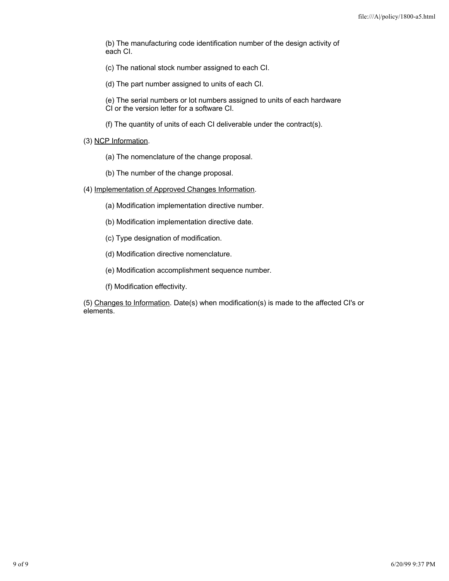(b) The manufacturing code identification number of the design activity of each CI.

- (c) The national stock number assigned to each CI.
- (d) The part number assigned to units of each CI.
- (e) The serial numbers or lot numbers assigned to units of each hardware CI or the version letter for a software CI.
- (f) The quantity of units of each CI deliverable under the contract(s).
- (3) NCP Information.
	- (a) The nomenclature of the change proposal.
	- (b) The number of the change proposal.
- (4) Implementation of Approved Changes Information.
	- (a) Modification implementation directive number.
	- (b) Modification implementation directive date.
	- (c) Type designation of modification.
	- (d) Modification directive nomenclature.
	- (e) Modification accomplishment sequence number.
	- (f) Modification effectivity.

(5) Changes to Information. Date(s) when modification(s) is made to the affected CI's or elements.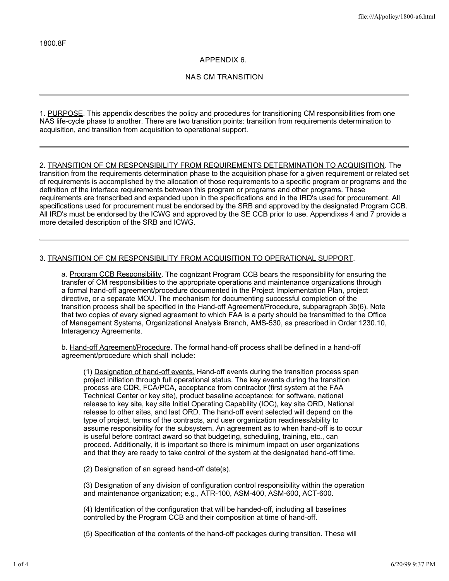## **APPENDIX 6.**

## **NAS CM TRANSITION**

1. PURPOSE. This appendix describes the policy and procedures for transitioning CM responsibilities from one NAS life-cycle phase to another. There are two transition points: transition from requirements determination to acquisition, and transition from acquisition to operational support.

2. TRANSITION OF CM RESPONSIBILITY FROM REQUIREMENTS DETERMINATION TO ACQUISITION. The transition from the requirements determination phase to the acquisition phase for a given requirement or related set of requirements is accomplished by the allocation of those requirements to a specific program or programs and the definition of the interface requirements between this program or programs and other programs. These requirements are transcribed and expanded upon in the specifications and in the IRD's used for procurement. All specifications used for procurement must be endorsed by the SRB and approved by the designated Program CCB. All IRD's must be endorsed by the ICWG and approved by the SE CCB prior to use. Appendixes 4 and 7 provide a more detailed description of the SRB and ICWG.

# 3. TRANSITION OF CM RESPONSIBILITY FROM ACQUISITION TO OPERATIONAL SUPPORT.

a. Program CCB Responsibility. The cognizant Program CCB bears the responsibility for ensuring the transfer of CM responsibilities to the appropriate operations and maintenance organizations through a formal hand-off agreement/procedure documented in the Project Implementation Plan, project directive, or a separate MOU. The mechanism for documenting successful completion of the transition process shall be specified in the Hand-off Agreement/Procedure, subparagraph 3b(6). Note that two copies of every signed agreement to which FAA is a party should be transmitted to the Office of Management Systems, Organizational Analysis Branch, AMS-530, as prescribed in Order 1230.10, Interagency Agreements.

b. Hand-off Agreement/Procedure. The formal hand-off process shall be defined in a hand-off agreement/procedure which shall include:

(1) Designation of hand-off events. Hand-off events during the transition process span project initiation through full operational status. The key events during the transition process are CDR, FCA/PCA, acceptance from contractor (first system at the FAA Technical Center or key site), product baseline acceptance; for software, national release to key site, key site Initial Operating Capability (IOC), key site ORD, National release to other sites, and last ORD. The hand-off event selected will depend on the type of project, terms of the contracts, and user organization readiness/ability to assume responsibility for the subsystem. An agreement as to when hand-off is to occur is useful before contract award so that budgeting, scheduling, training, etc., can proceed. Additionally, it is important so there is minimum impact on user organizations and that they are ready to take control of the system at the designated hand-off time.

(2) Designation of an agreed hand-off date(s).

(3) Designation of any division of configuration control responsibility within the operation and maintenance organization; e.g., ATR-100, ASM-400, ASM-600, ACT-600.

(4) Identification of the configuration that will be handed-off, including all baselines controlled by the Program CCB and their composition at time of hand-off.

(5) Specification of the contents of the hand-off packages during transition. These will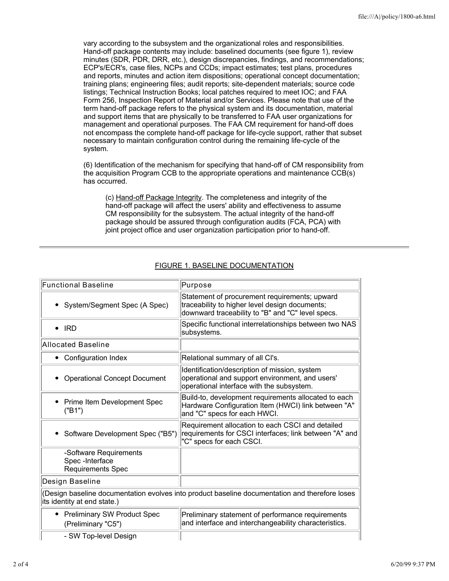vary according to the subsystem and the organizational roles and responsibilities. Hand-off package contents may include: baselined documents (see figure 1), review minutes (SDR, PDR, DRR, etc.), design discrepancies, findings, and recommendations; ECP's/ECR's, case files, NCPs and CCDs; impact estimates; test plans, procedures and reports, minutes and action item dispositions; operational concept documentation; training plans; engineering files; audit reports; site-dependent materials; source code listings; Technical Instruction Books; local patches required to meet IOC; and FAA Form 256, Inspection Report of Material and/or Services. Please note that use of the term hand-off package refers to the physical system and its documentation, material and support items that are physically to be transferred to FAA user organizations for management and operational purposes. The FAA CM requirement for hand-off does not encompass the complete hand-off package for life-cycle support, rather that subset necessary to maintain configuration control during the remaining life-cycle of the system.

(6) Identification of the mechanism for specifying that hand-off of CM responsibility from the acquisition Program CCB to the appropriate operations and maintenance CCB(s) has occurred.

(c) Hand-off Package Integrity. The completeness and integrity of the hand-off package will affect the users' ability and effectiveness to assume CM responsibility for the subsystem. The actual integrity of the hand-off package should be assured through configuration audits (FCA, PCA) with joint project office and user organization participation prior to hand-off.

| <b>Functional Baseline</b>                                                                                                    | Purpose                                                                                                                                              |  |
|-------------------------------------------------------------------------------------------------------------------------------|------------------------------------------------------------------------------------------------------------------------------------------------------|--|
| System/Segment Spec (A Spec)                                                                                                  | Statement of procurement requirements; upward<br>traceability to higher level design documents;<br>downward traceability to "B" and "C" level specs. |  |
| $\bullet$ IRD                                                                                                                 | Specific functional interrelationships between two NAS<br>subsystems.                                                                                |  |
| Allocated Baseline                                                                                                            |                                                                                                                                                      |  |
| • Configuration Index                                                                                                         | Relational summary of all Cl's.                                                                                                                      |  |
| <b>Operational Concept Document</b>                                                                                           | Identification/description of mission, system<br>operational and support environment, and users'<br>operational interface with the subsystem.        |  |
| Prime Item Development Spec<br>٠<br>("B1")                                                                                    | Build-to, development requirements allocated to each<br>Hardware Configuration Item (HWCI) link between "A"<br>and "C" specs for each HWCI.          |  |
| Software Development Spec ("B5")<br>٠                                                                                         | Requirement allocation to each CSCI and detailed<br>requirements for CSCI interfaces; link between "A" and<br>"C" specs for each CSCI.               |  |
| -Software Requirements<br>Spec-Interface<br>Requirements Spec                                                                 |                                                                                                                                                      |  |
| Design Baseline                                                                                                               |                                                                                                                                                      |  |
| (Design baseline documentation evolves into product baseline documentation and therefore loses<br>its identity at end state.) |                                                                                                                                                      |  |
| • Preliminary SW Product Spec<br>(Preliminary "C5")                                                                           | Preliminary statement of performance requirements<br>and interface and interchangeability characteristics.                                           |  |
| - SW Top-level Design                                                                                                         |                                                                                                                                                      |  |

# FIGURE 1. BASELINE DOCUMENTATION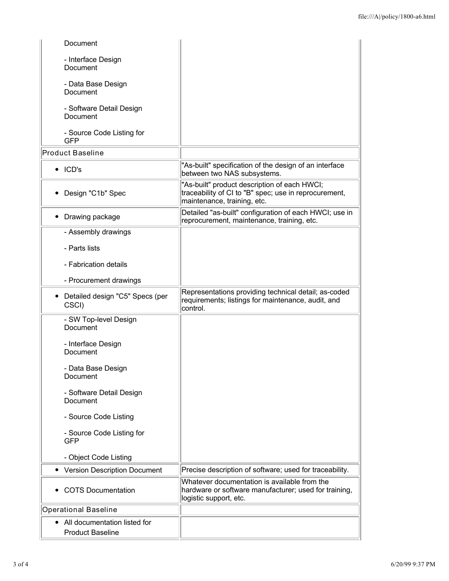| - Interface Design<br>Document<br>- Data Base Design<br>Document<br>- Software Detail Design                                                                       |  |
|--------------------------------------------------------------------------------------------------------------------------------------------------------------------|--|
|                                                                                                                                                                    |  |
|                                                                                                                                                                    |  |
| Document                                                                                                                                                           |  |
| - Source Code Listing for<br><b>GFP</b>                                                                                                                            |  |
| <b>Product Baseline</b>                                                                                                                                            |  |
| "As-built" specification of the design of an interface<br>$\bullet$ ICD's<br>between two NAS subsystems.                                                           |  |
| "As-built" product description of each HWCI;<br>traceability of CI to "B" spec; use in reprocurement,<br>Design "C1b" Spec<br>maintenance, training, etc.          |  |
| Detailed "as-built" configuration of each HWCI; use in<br>• Drawing package<br>reprocurement, maintenance, training, etc.                                          |  |
| - Assembly drawings                                                                                                                                                |  |
| - Parts lists                                                                                                                                                      |  |
| - Fabrication details                                                                                                                                              |  |
| - Procurement drawings                                                                                                                                             |  |
| Representations providing technical detail; as-coded<br>Detailed design "C5" Specs (per<br>requirements; listings for maintenance, audit, and<br>CSCI)<br>control. |  |
| - SW Top-level Design<br>Document                                                                                                                                  |  |
| - Interface Design<br>Document                                                                                                                                     |  |
| - Data Base Design<br>Document                                                                                                                                     |  |
| - Software Detail Design<br>Document                                                                                                                               |  |
| - Source Code Listing                                                                                                                                              |  |
| - Source Code Listing for<br><b>GFP</b>                                                                                                                            |  |
| - Object Code Listing                                                                                                                                              |  |
| Precise description of software; used for traceability.<br><b>Version Description Document</b>                                                                     |  |
| Whatever documentation is available from the<br><b>COTS Documentation</b><br>hardware or software manufacturer; used for training,<br>logistic support, etc.       |  |
| <b>Operational Baseline</b>                                                                                                                                        |  |
| All documentation listed for<br>٠<br><b>Product Baseline</b>                                                                                                       |  |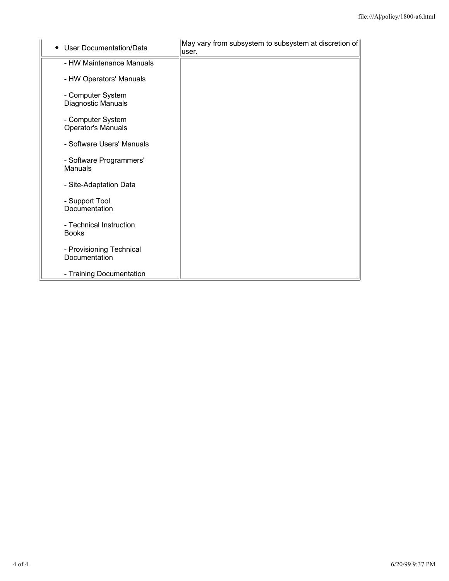| <b>User Documentation/Data</b>                 | May vary from subsystem to subsystem at discretion of<br>user. |
|------------------------------------------------|----------------------------------------------------------------|
| - HW Maintenance Manuals                       |                                                                |
| - HW Operators' Manuals                        |                                                                |
| - Computer System<br>Diagnostic Manuals        |                                                                |
| - Computer System<br><b>Operator's Manuals</b> |                                                                |
| - Software Users' Manuals                      |                                                                |
| - Software Programmers'<br>Manuals             |                                                                |
| - Site-Adaptation Data                         |                                                                |
| - Support Tool<br>Documentation                |                                                                |
| - Technical Instruction<br><b>Books</b>        |                                                                |
| - Provisioning Technical<br>Documentation      |                                                                |
| - Training Documentation                       |                                                                |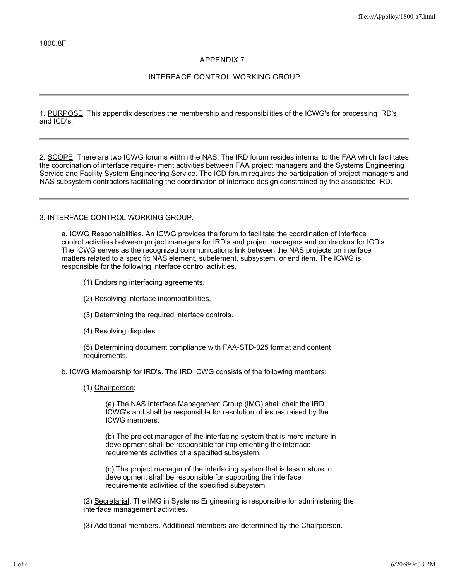## **APPENDIX 7.**

## **INTERFACE CONTROL WORKING GROUP**

1. PURPOSE. This appendix describes the membership and responsibilities of the ICWG's for processing IRD's and ICD's.

2. SCOPE. There are two ICWG forums within the NAS. The IRD forum resides internal to the FAA which facilitates the coordination of interface require- ment activities between FAA project managers and the Systems Engineering Service and Facility System Engineering Service. The ICD forum requires the participation of project managers and NAS subsystem contractors facilitating the coordination of interface design constrained by the associated IRD.

#### 3. INTERFACE CONTROL WORKING GROUP.

a. ICWG Responsibilities. An ICWG provides the forum to facilitate the coordination of interface control activities between project managers for IRD's and project managers and contractors for ICD's. The ICWG serves as the recognized communications link between the NAS projects on interface matters related to a specific NAS element, subelement, subsystem, or end item. The ICWG is responsible for the following interface control activities.

- (1) Endorsing interfacing agreements.
- (2) Resolving interface incompatibilities.
- (3) Determining the required interface controls.
- (4) Resolving disputes.

(5) Determining document compliance with FAA-STD-025 format and content requirements.

b. ICWG Membership for IRD's. The IRD ICWG consists of the following members:

(1) Chairperson:

(a) The NAS Interface Management Group (IMG) shall chair the IRD ICWG's and shall be responsible for resolution of issues raised by the ICWG members.

(b) The project manager of the interfacing system that is more mature in development shall be responsible for implementing the interface requirements activities of a specified subsystem.

(c) The project manager of the interfacing system that is less mature in development shall be responsible for supporting the interface requirements activities of the specified subsystem.

(2) Secretariat. The IMG in Systems Engineering is responsible for administering the interface management activities.

(3) Additional members. Additional members are determined by the Chairperson.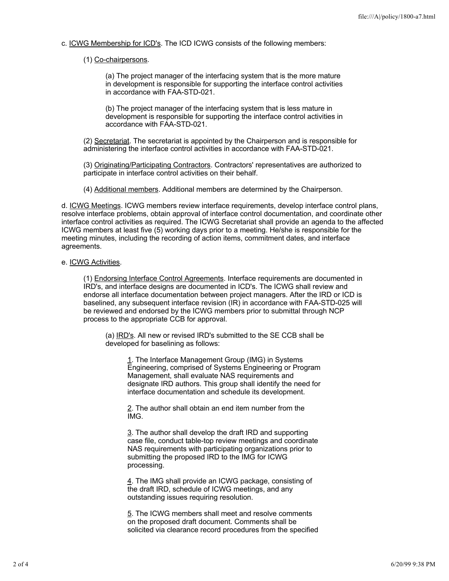c. ICWG Membership for ICD's. The ICD ICWG consists of the following members:

## (1) Co-chairpersons.

(a) The project manager of the interfacing system that is the more mature in development is responsible for supporting the interface control activities in accordance with FAA-STD-021.

(b) The project manager of the interfacing system that is less mature in development is responsible for supporting the interface control activities in accordance with FAA-STD-021.

(2) Secretariat. The secretariat is appointed by the Chairperson and is responsible for administering the interface control activities in accordance with FAA-STD-021.

(3) Originating/Participating Contractors. Contractors' representatives are authorized to participate in interface control activities on their behalf.

(4) Additional members. Additional members are determined by the Chairperson.

d. ICWG Meetings. ICWG members review interface requirements, develop interface control plans, resolve interface problems, obtain approval of interface control documentation, and coordinate other interface control activities as required. The ICWG Secretariat shall provide an agenda to the affected ICWG members at least five (5) working days prior to a meeting. He/she is responsible for the meeting minutes, including the recording of action items, commitment dates, and interface agreements.

#### e. ICWG Activities.

(1) Endorsing Interface Control Agreements. Interface requirements are documented in IRD's, and interface designs are documented in ICD's. The ICWG shall review and endorse all interface documentation between project managers. After the IRD or ICD is baselined, any subsequent interface revision (IR) in accordance with FAA-STD-025 will be reviewed and endorsed by the ICWG members prior to submittal through NCP process to the appropriate CCB for approval.

(a) IRD's. All new or revised IRD's submitted to the SE CCB shall be developed for baselining as follows:

> 1. The Interface Management Group (IMG) in Systems Engineering, comprised of Systems Engineering or Program Management, shall evaluate NAS requirements and designate IRD authors. This group shall identify the need for interface documentation and schedule its development.

2. The author shall obtain an end item number from the IMG.

3. The author shall develop the draft IRD and supporting case file, conduct table-top review meetings and coordinate NAS requirements with participating organizations prior to submitting the proposed IRD to the IMG for ICWG processing.

4. The IMG shall provide an ICWG package, consisting of the draft IRD, schedule of ICWG meetings, and any outstanding issues requiring resolution.

5. The ICWG members shall meet and resolve comments on the proposed draft document. Comments shall be solicited via clearance record procedures from the specified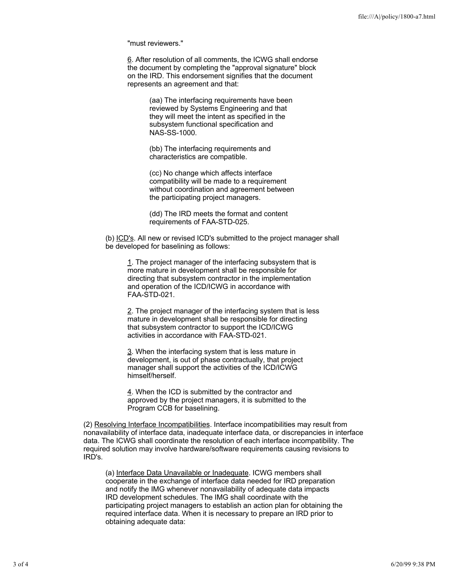"must reviewers."

6. After resolution of all comments, the ICWG shall endorse the document by completing the "approval signature" block on the IRD. This endorsement signifies that the document represents an agreement and that:

> (aa) The interfacing requirements have been reviewed by Systems Engineering and that they will meet the intent as specified in the subsystem functional specification and NAS-SS-1000.

(bb) The interfacing requirements and characteristics are compatible.

(cc) No change which affects interface compatibility will be made to a requirement without coordination and agreement between the participating project managers.

(dd) The IRD meets the format and content requirements of FAA-STD-025.

(b) ICD's. All new or revised ICD's submitted to the project manager shall be developed for baselining as follows:

1. The project manager of the interfacing subsystem that is more mature in development shall be responsible for directing that subsystem contractor in the implementation and operation of the ICD/ICWG in accordance with FAA-STD-021.

2. The project manager of the interfacing system that is less mature in development shall be responsible for directing that subsystem contractor to support the ICD/ICWG activities in accordance with FAA-STD-021.

3. When the interfacing system that is less mature in development, is out of phase contractually, that project manager shall support the activities of the ICD/ICWG himself/herself.

4. When the ICD is submitted by the contractor and approved by the project managers, it is submitted to the Program CCB for baselining.

(2) Resolving Interface Incompatibilities. Interface incompatibilities may result from nonavailability of interface data, inadequate interface data, or discrepancies in interface data. The ICWG shall coordinate the resolution of each interface incompatibility. The required solution may involve hardware/software requirements causing revisions to IRD's.

(a) Interface Data Unavailable or Inadequate. ICWG members shall cooperate in the exchange of interface data needed for IRD preparation and notify the IMG whenever nonavailability of adequate data impacts IRD development schedules. The IMG shall coordinate with the participating project managers to establish an action plan for obtaining the required interface data. When it is necessary to prepare an IRD prior to obtaining adequate data: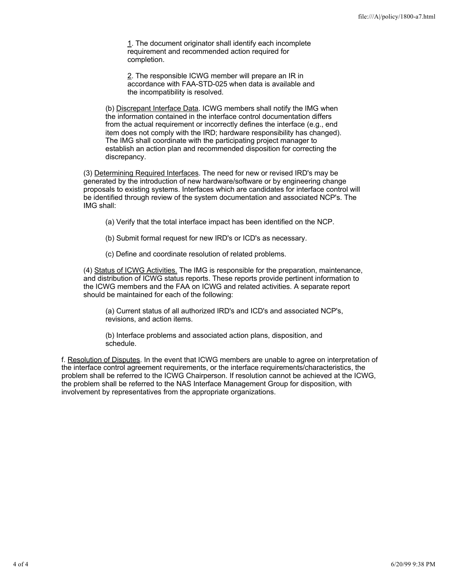1. The document originator shall identify each incomplete requirement and recommended action required for completion.

2. The responsible ICWG member will prepare an IR in accordance with FAA-STD-025 when data is available and the incompatibility is resolved.

(b) Discrepant Interface Data. ICWG members shall notify the IMG when the information contained in the interface control documentation differs from the actual requirement or incorrectly defines the interface (e.g., end item does not comply with the IRD; hardware responsibility has changed). The IMG shall coordinate with the participating project manager to establish an action plan and recommended disposition for correcting the discrepancy.

(3) Determining Required Interfaces. The need for new or revised IRD's may be generated by the introduction of new hardware/software or by engineering change proposals to existing systems. Interfaces which are candidates for interface control will be identified through review of the system documentation and associated NCP's. The IMG shall:

(a) Verify that the total interface impact has been identified on the NCP.

(b) Submit formal request for new IRD's or ICD's as necessary.

(c) Define and coordinate resolution of related problems.

(4) Status of ICWG Activities. The IMG is responsible for the preparation, maintenance, and distribution of ICWG status reports. These reports provide pertinent information to the ICWG members and the FAA on ICWG and related activities. A separate report should be maintained for each of the following:

(a) Current status of all authorized IRD's and ICD's and associated NCP's, revisions, and action items.

(b) Interface problems and associated action plans, disposition, and schedule.

f. Resolution of Disputes. In the event that ICWG members are unable to agree on interpretation of the interface control agreement requirements, or the interface requirements/characteristics, the problem shall be referred to the ICWG Chairperson. If resolution cannot be achieved at the ICWG, the problem shall be referred to the NAS Interface Management Group for disposition, with involvement by representatives from the appropriate organizations.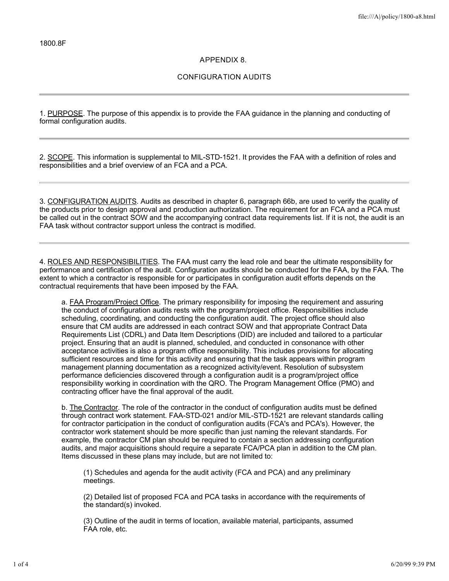## **APPENDIX 8.**

## **CONFIGURATION AUDITS**

1. PURPOSE. The purpose of this appendix is to provide the FAA guidance in the planning and conducting of formal configuration audits.

2. SCOPE. This information is supplemental to MIL-STD-1521. It provides the FAA with a definition of roles and responsibilities and a brief overview of an FCA and a PCA.

3. CONFIGURATION AUDITS. Audits as described in chapter 6, paragraph 66b, are used to verify the quality of the products prior to design approval and production authorization. The requirement for an FCA and a PCA must be called out in the contract SOW and the accompanying contract data requirements list. If it is not, the audit is an FAA task without contractor support unless the contract is modified.

4. ROLES AND RESPONSIBILITIES. The FAA must carry the lead role and bear the ultimate responsibility for performance and certification of the audit. Configuration audits should be conducted for the FAA, by the FAA. The extent to which a contractor is responsible for or participates in configuration audit efforts depends on the contractual requirements that have been imposed by the FAA.

a. FAA Program/Project Office. The primary responsibility for imposing the requirement and assuring the conduct of configuration audits rests with the program/project office. Responsibilities include scheduling, coordinating, and conducting the configuration audit. The project office should also ensure that CM audits are addressed in each contract SOW and that appropriate Contract Data Requirements List (CDRL) and Data Item Descriptions (DID) are included and tailored to a particular project. Ensuring that an audit is planned, scheduled, and conducted in consonance with other acceptance activities is also a program office responsibility. This includes provisions for allocating sufficient resources and time for this activity and ensuring that the task appears within program management planning documentation as a recognized activity/event. Resolution of subsystem performance deficiencies discovered through a configuration audit is a program/project office responsibility working in coordination with the QRO. The Program Management Office (PMO) and contracting officer have the final approval of the audit.

b. The Contractor. The role of the contractor in the conduct of configuration audits must be defined through contract work statement. FAA-STD-021 and/or MIL-STD-1521 are relevant standards calling for contractor participation in the conduct of configuration audits (FCA's and PCA's). However, the contractor work statement should be more specific than just naming the relevant standards. For example, the contractor CM plan should be required to contain a section addressing configuration audits, and major acquisitions should require a separate FCA/PCA plan in addition to the CM plan. Items discussed in these plans may include, but are not limited to:

(1) Schedules and agenda for the audit activity (FCA and PCA) and any preliminary meetings.

(2) Detailed list of proposed FCA and PCA tasks in accordance with the requirements of the standard(s) invoked.

(3) Outline of the audit in terms of location, available material, participants, assumed FAA role, etc.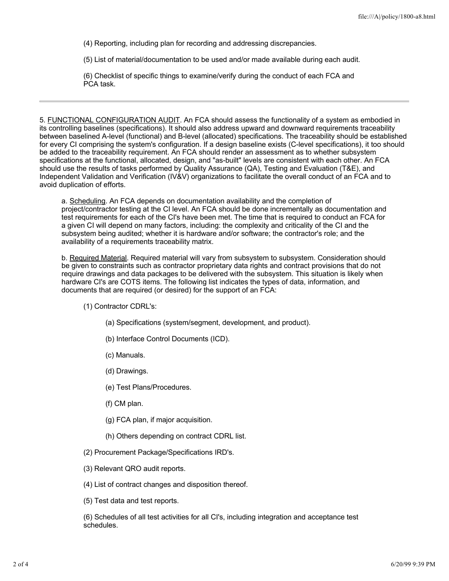(4) Reporting, including plan for recording and addressing discrepancies.

(5) List of material/documentation to be used and/or made available during each audit.

(6) Checklist of specific things to examine/verify during the conduct of each FCA and PCA task.

5. FUNCTIONAL CONFIGURATION AUDIT. An FCA should assess the functionality of a system as embodied in its controlling baselines (specifications). It should also address upward and downward requirements traceability between baselined A-level (functional) and B-level (allocated) specifications. The traceability should be established for every CI comprising the system's configuration. If a design baseline exists (C-level specifications), it too should be added to the traceability requirement. An FCA should render an assessment as to whether subsystem specifications at the functional, allocated, design, and "as-built" levels are consistent with each other. An FCA should use the results of tasks performed by Quality Assurance (QA), Testing and Evaluation (T&E), and Independent Validation and Verification (IV&V) organizations to facilitate the overall conduct of an FCA and to avoid duplication of efforts.

a. Scheduling. An FCA depends on documentation availability and the completion of project/contractor testing at the CI level. An FCA should be done incrementally as documentation and test requirements for each of the CI's have been met. The time that is required to conduct an FCA for a given CI will depend on many factors, including: the complexity and criticality of the CI and the subsystem being audited; whether it is hardware and/or software; the contractor's role; and the availability of a requirements traceability matrix.

b. Required Material. Required material will vary from subsystem to subsystem. Consideration should be given to constraints such as contractor proprietary data rights and contract provisions that do not require drawings and data packages to be delivered with the subsystem. This situation is likely when hardware CI's are COTS items. The following list indicates the types of data, information, and documents that are required (or desired) for the support of an FCA:

(1) Contractor CDRL's:

- (a) Specifications (system/segment, development, and product).
- (b) Interface Control Documents (ICD).
- (c) Manuals.
- (d) Drawings.
- (e) Test Plans/Procedures.
- (f) CM plan.
- (g) FCA plan, if major acquisition.
- (h) Others depending on contract CDRL list.
- (2) Procurement Package/Specifications IRD's.
- (3) Relevant QRO audit reports.
- (4) List of contract changes and disposition thereof.
- (5) Test data and test reports.

(6) Schedules of all test activities for all CI's, including integration and acceptance test schedules.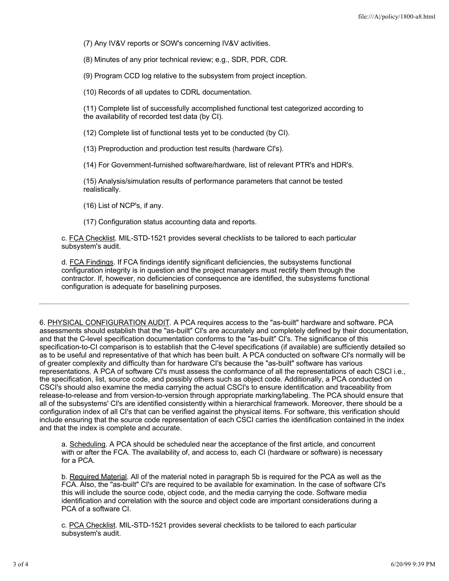(7) Any IV&V reports or SOW's concerning IV&V activities.

(8) Minutes of any prior technical review; e.g., SDR, PDR, CDR.

(9) Program CCD log relative to the subsystem from project inception.

(10) Records of all updates to CDRL documentation.

(11) Complete list of successfully accomplished functional test categorized according to the availability of recorded test data (by CI).

(12) Complete list of functional tests yet to be conducted (by CI).

(13) Preproduction and production test results (hardware CI's).

(14) For Government-furnished software/hardware, list of relevant PTR's and HDR's.

(15) Analysis/simulation results of performance parameters that cannot be tested realistically.

(16) List of NCP's, if any.

(17) Configuration status accounting data and reports.

c. FCA Checklist. MIL-STD-1521 provides several checklists to be tailored to each particular subsystem's audit.

d. FCA Findings. If FCA findings identify significant deficiencies, the subsystems functional configuration integrity is in question and the project managers must rectify them through the contractor. If, however, no deficiencies of consequence are identified, the subsystems functional configuration is adequate for baselining purposes.

6. PHYSICAL CONFIGURATION AUDIT. A PCA requires access to the "as-built" hardware and software. PCA assessments should establish that the "as-built" CI's are accurately and completely defined by their documentation, and that the C-level specification documentation conforms to the "as-built" CI's. The significance of this specification-to-CI comparison is to establish that the C-level specifications (if available) are sufficiently detailed so as to be useful and representative of that which has been built. A PCA conducted on software CI's normally will be of greater complexity and difficulty than for hardware CI's because the "as-built" software has various representations. A PCA of software CI's must assess the conformance of all the representations of each CSCI i.e., the specification, list, source code, and possibly others such as object code. Additionally, a PCA conducted on CSCI's should also examine the media carrying the actual CSCI's to ensure identification and traceability from release-to-release and from version-to-version through appropriate marking/labeling. The PCA should ensure that all of the subsystems' CI's are identified consistently within a hierarchical framework. Moreover, there should be a configuration index of all CI's that can be verified against the physical items. For software, this verification should include ensuring that the source code representation of each CSCI carries the identification contained in the index and that the index is complete and accurate.

a. Scheduling. A PCA should be scheduled near the acceptance of the first article, and concurrent with or after the FCA. The availability of, and access to, each CI (hardware or software) is necessary for a PCA.

b. Required Material. All of the material noted in paragraph 5b is required for the PCA as well as the FCA. Also, the "as-built" CI's are required to be available for examination. In the case of software CI's this will include the source code, object code, and the media carrying the code. Software media identification and correlation with the source and object code are important considerations during a PCA of a software CI.

c. PCA Checklist. MIL-STD-1521 provides several checklists to be tailored to each particular subsystem's audit.